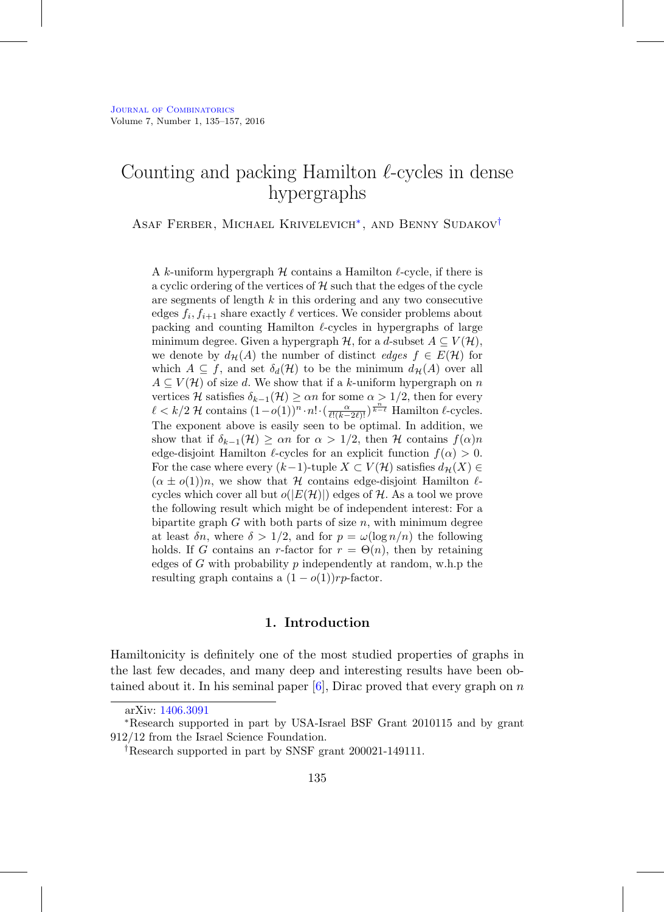# Counting and packing Hamilton  $\ell$ -cycles in dense hypergraphs

Asaf Ferber, Michael Krivelevich[∗](#page-0-0), and Benny Sudakov[†](#page-0-1)

A k-uniform hypergraph  $H$  contains a Hamilton  $\ell$ -cycle, if there is a cyclic ordering of the vertices of  $H$  such that the edges of the cycle are segments of length k in this ordering and any two consecutive edges  $f_i, f_{i+1}$  share exactly  $\ell$  vertices. We consider problems about packing and counting Hamilton  $\ell$ -cycles in hypergraphs of large minimum degree. Given a hypergraph  $H$ , for a d-subset  $A \subseteq V(H)$ , we denote by  $d_{\mathcal{H}}(A)$  the number of distinct *edges*  $f \in E(\mathcal{H})$  for which  $A \subseteq f$ , and set  $\delta_d(\mathcal{H})$  to be the minimum  $d_{\mathcal{H}}(A)$  over all  $A \subseteq V(H)$  of size d. We show that if a k-uniform hypergraph on n vertices H satisfies  $\delta_{k-1}(\mathcal{H}) \geq \alpha n$  for some  $\alpha > 1/2$ , then for every  $\ell < k/2$  H contains  $(1-o(1))^n \cdot n! \cdot (\frac{\alpha}{\ell!(k-2\ell)!})^{\frac{n}{k-\ell}}$  Hamilton  $\ell$ -cycles. The exponent above is easily seen to be optimal. In addition, we show that if  $\delta_{k-1}(\mathcal{H}) \geq \alpha n$  for  $\alpha > 1/2$ , then H contains  $f(\alpha)n$ edge-disjoint Hamilton  $\ell$ -cycles for an explicit function  $f(\alpha) > 0$ . For the case where every  $(k-1)$ -tuple  $X \subset V(H)$  satisfies  $d_{\mathcal{H}}(X) \in$  $(\alpha \pm o(1))n$ , we show that H contains edge-disjoint Hamilton  $\ell$ cycles which cover all but  $o(|E(\mathcal{H})|)$  edges of H. As a tool we prove the following result which might be of independent interest: For a bipartite graph  $G$  with both parts of size  $n$ , with minimum degree at least  $\delta n$ , where  $\delta > 1/2$ , and for  $p = \omega(\log n/n)$  the following holds. If G contains an r-factor for  $r = \Theta(n)$ , then by retaining edges of  $G$  with probability  $p$  independently at random, w.h.p the resulting graph contains a  $(1 - o(1))rp$ -factor.

## **1. Introduction**

Hamiltonicity is definitely one of the most studied properties of graphs in the last few decades, and many deep and interesting results have been obtained about it. In his seminal paper  $[6]$ , Dirac proved that every graph on n

<span id="page-0-0"></span>arXiv: [1406.3091](http://arxiv.org/abs/1406.3091)

<sup>∗</sup>Research supported in part by USA-Israel BSF Grant 2010115 and by grant 912/12 from the Israel Science Foundation.

<span id="page-0-1"></span><sup>†</sup>Research supported in part by SNSF grant 200021-149111.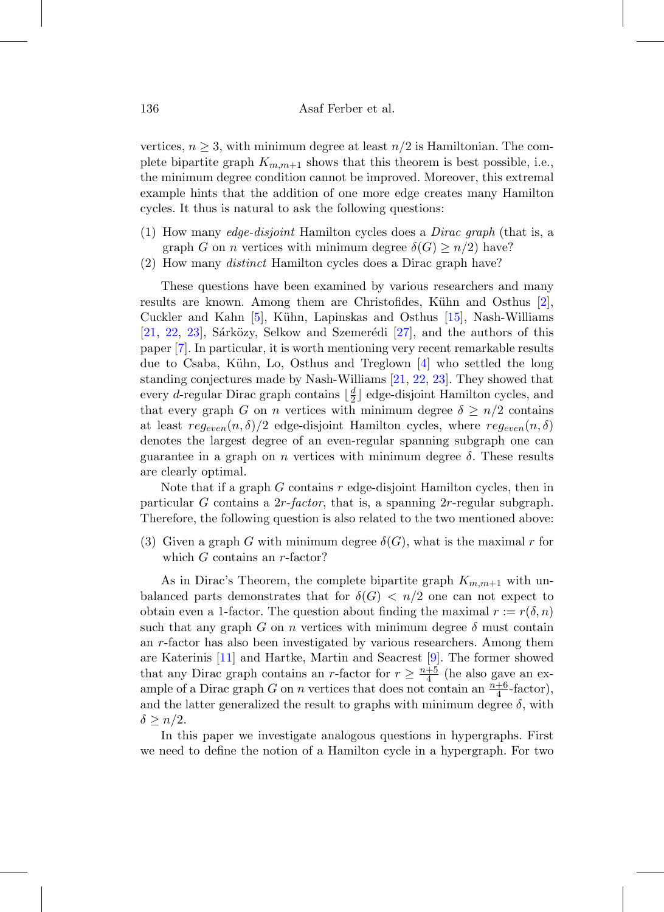vertices,  $n \geq 3$ , with minimum degree at least  $n/2$  is Hamiltonian. The complete bipartite graph  $K_{m,m+1}$  shows that this theorem is best possible, i.e., the minimum degree condition cannot be improved. Moreover, this extremal example hints that the addition of one more edge creates many Hamilton cycles. It thus is natural to ask the following questions:

- (1) How many edge-disjoint Hamilton cycles does a Dirac graph (that is, a graph G on n vertices with minimum degree  $\delta(G) \geq n/2$  have?
- (2) How many distinct Hamilton cycles does a Dirac graph have?

These questions have been examined by various researchers and many results are known. Among them are Christofides, Kühn and Osthus  $[2]$ , Cuckler and Kahn  $[5]$ , Kühn, Lapinskas and Osthus  $[15]$ , Nash-Williams [\[21,](#page-21-0) [22,](#page-21-1) [23\]](#page-21-2), Sárközy, Selkow and Szemerédi [\[27\]](#page-21-3), and the authors of this paper [\[7\]](#page-20-1). In particular, it is worth mentioning very recent remarkable results due to Csaba, Kühn, Lo, Osthus and Treglown  $\left[4\right]$  who settled the long standing conjectures made by Nash-Williams [\[21,](#page-21-0) [22,](#page-21-1) [23\]](#page-21-2). They showed that every *d*-regular Dirac graph contains  $\lfloor \frac{d}{2} \rfloor$  edge-disjoint Hamilton cycles, and that every graph G on n vertices with minimum degree  $\delta \geq n/2$  contains at least  $reg_{even}(n, \delta)/2$  edge-disjoint Hamilton cycles, where  $reg_{even}(n, \delta)$ denotes the largest degree of an even-regular spanning subgraph one can guarantee in a graph on n vertices with minimum degree  $\delta$ . These results are clearly optimal.

Note that if a graph  $G$  contains  $r$  edge-disjoint Hamilton cycles, then in particular G contains a  $2r$ -factor, that is, a spanning  $2r$ -regular subgraph. Therefore, the following question is also related to the two mentioned above:

(3) Given a graph G with minimum degree  $\delta(G)$ , what is the maximal r for which  $G$  contains an  $r$ -factor?

As in Dirac's Theorem, the complete bipartite graph  $K_{m,m+1}$  with unbalanced parts demonstrates that for  $\delta(G) < n/2$  one can not expect to obtain even a 1-factor. The question about finding the maximal  $r := r(\delta, n)$ such that any graph G on n vertices with minimum degree  $\delta$  must contain an r-factor has also been investigated by various researchers. Among them are Katerinis [\[11\]](#page-20-2) and Hartke, Martin and Seacrest [\[9\]](#page-20-3). The former showed that any Dirac graph contains an r-factor for  $r \geq \frac{n+5}{4}$  (he also gave an example of a Dirac graph G on n vertices that does not contain an  $\frac{n+6}{4}$ -factor), and the latter generalized the result to graphs with minimum degree  $\delta$ , with  $\delta \geq n/2$ .

In this paper we investigate analogous questions in hypergraphs. First we need to define the notion of a Hamilton cycle in a hypergraph. For two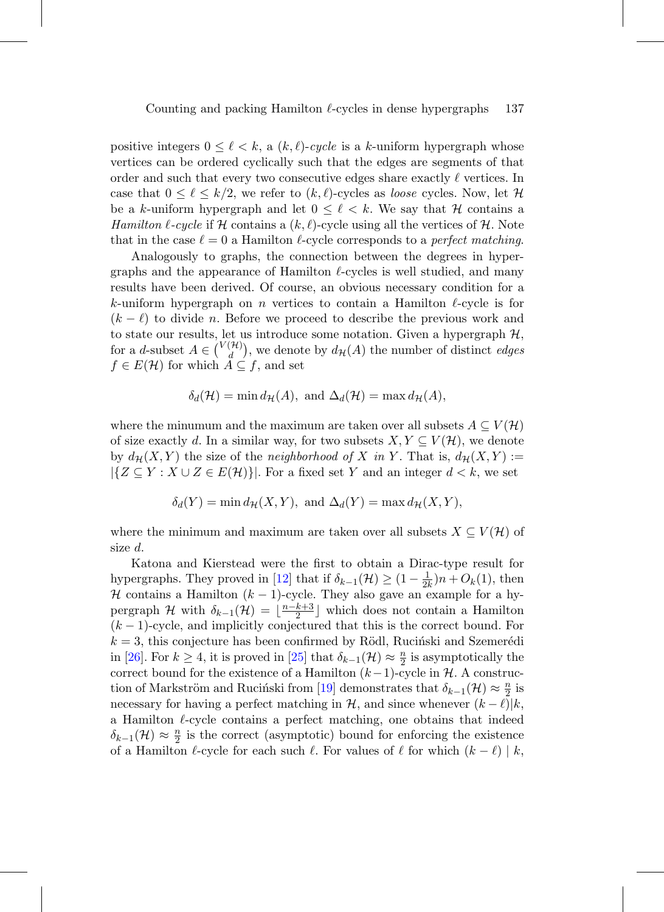positive integers  $0 \leq \ell < k$ , a  $(k, \ell)$ -cycle is a k-uniform hypergraph whose vertices can be ordered cyclically such that the edges are segments of that order and such that every two consecutive edges share exactly  $\ell$  vertices. In case that  $0 \leq \ell \leq k/2$ , we refer to  $(k, \ell)$ -cycles as *loose* cycles. Now, let H be a k-uniform hypergraph and let  $0 \leq \ell \leq k$ . We say that H contains a Hamilton  $\ell$ -cycle if H contains a  $(k, \ell)$ -cycle using all the vertices of H. Note that in the case  $\ell = 0$  a Hamilton  $\ell$ -cycle corresponds to a *perfect matching*.

Analogously to graphs, the connection between the degrees in hypergraphs and the appearance of Hamilton  $\ell$ -cycles is well studied, and many results have been derived. Of course, an obvious necessary condition for a k-uniform hypergraph on n vertices to contain a Hamilton  $\ell$ -cycle is for  $(k - \ell)$  to divide n. Before we proceed to describe the previous work and to state our results, let us introduce some notation. Given a hypergraph  $\mathcal{H}$ , for a *d*-subset  $A \in \binom{V(\mathcal{H})}{d}$ , we denote by  $d_{\mathcal{H}}(A)$  the number of distinct *edges*  $f \in E(\mathcal{H})$  for which  $A \subseteq f$ , and set

$$
\delta_d(\mathcal{H}) = \min d_{\mathcal{H}}(A), \text{ and } \Delta_d(\mathcal{H}) = \max d_{\mathcal{H}}(A),
$$

where the minumum and the maximum are taken over all subsets  $A \subseteq V(H)$ of size exactly d. In a similar way, for two subsets  $X, Y \subseteq V(H)$ , we denote by  $d_{\mathcal{H}}(X, Y)$  the size of the neighborhood of X in Y. That is,  $d_{\mathcal{H}}(X, Y) :=$  $|\{Z \subseteq Y : X \cup Z \in E(\mathcal{H})\}|$ . For a fixed set Y and an integer  $d < k$ , we set

$$
\delta_d(Y) = \min d_{\mathcal{H}}(X, Y), \text{ and } \Delta_d(Y) = \max d_{\mathcal{H}}(X, Y),
$$

where the minimum and maximum are taken over all subsets  $X \subseteq V(H)$  of size d.

Katona and Kierstead were the first to obtain a Dirac-type result for hypergraphs. They proved in [\[12\]](#page-20-4) that if  $\delta_{k-1}(\mathcal{H}) \geq (1 - \frac{1}{2k})n + O_k(1)$ , then H contains a Hamilton  $(k-1)$ -cycle. They also gave an example for a hypergraph  $\mathcal H$  with  $\delta_{k-1}(\mathcal H) = \lfloor \frac{n-k+3}{2} \rfloor$  which does not contain a Hamilton  $(k-1)$ -cycle, and implicitly conjectured that this is the correct bound. For  $k = 3$ , this conjecture has been confirmed by Rödl, Rucinski and Szemerédi in [\[26\]](#page-21-4). For  $k \geq 4$ , it is proved in [\[25\]](#page-21-5) that  $\delta_{k-1}(\mathcal{H}) \approx \frac{n}{2}$  is asymptotically the correct bound for the existence of a Hamilton  $(k-1)$ -cycle in  $H$ . A construc-tion of Markström and Ruciński from [\[19\]](#page-20-5) demonstrates that  $\delta_{k-1}(\mathcal{H}) \approx \frac{n}{2}$  is necessary for having a perfect matching in  $H$ , and since whenever  $(k - \ell)|k$ , a Hamilton  $\ell$ -cycle contains a perfect matching, one obtains that indeed  $\delta_{k-1}(\mathcal{H}) \approx \frac{n}{2}$  is the correct (asymptotic) bound for enforcing the existence of a Hamilton  $\ell$ -cycle for each such  $\ell$ . For values of  $\ell$  for which  $(k - \ell) | k$ ,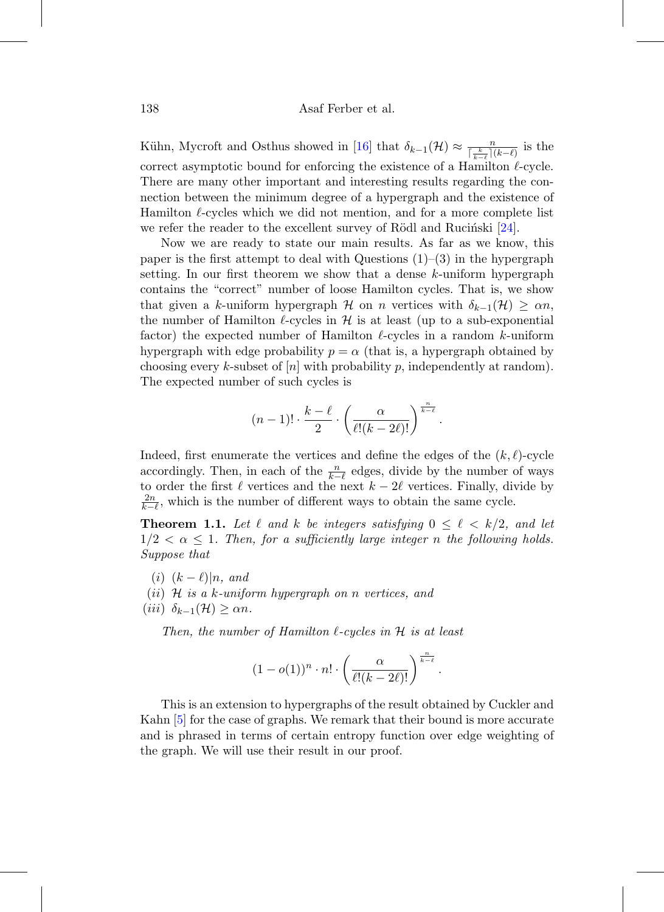Kühn, Mycroft and Osthus showed in [\[16\]](#page-20-6) that  $\delta_{k-1}(\mathcal{H}) \approx \frac{n}{\sqrt[k-\ell]}(k-\ell)}$  is the correct asymptotic bound for enforcing the existence of a Hamilton  $\ell$ -cycle. There are many other important and interesting results regarding the connection between the minimum degree of a hypergraph and the existence of Hamilton  $\ell$ -cycles which we did not mention, and for a more complete list we refer the reader to the excellent survey of Rödl and Rucinski  $[24]$ .

Now we are ready to state our main results. As far as we know, this paper is the first attempt to deal with Questions  $(1)$ – $(3)$  in the hypergraph setting. In our first theorem we show that a dense  $k$ -uniform hypergraph contains the "correct" number of loose Hamilton cycles. That is, we show that given a k-uniform hypergraph H on n vertices with  $\delta_{k-1}(\mathcal{H}) \geq \alpha n$ , the number of Hamilton  $\ell$ -cycles in  $\mathcal H$  is at least (up to a sub-exponential factor) the expected number of Hamilton  $\ell$ -cycles in a random k-uniform hypergraph with edge probability  $p = \alpha$  (that is, a hypergraph obtained by choosing every k-subset of  $[n]$  with probability p, independently at random). The expected number of such cycles is

$$
(n-1)! \cdot \frac{k-\ell}{2} \cdot \left(\frac{\alpha}{\ell!(k-2\ell)!}\right)^{\frac{n}{k-\ell}}
$$

.

Indeed, first enumerate the vertices and define the edges of the  $(k, \ell)$ -cycle accordingly. Then, in each of the  $\frac{n}{k-\ell}$  edges, divide by the number of ways to order the first  $\ell$  vertices and the next  $k - 2\ell$  vertices. Finally, divide by  $2n$  $\frac{2n}{k-\ell}$ , which is the number of different ways to obtain the same cycle.

<span id="page-3-0"></span>**Theorem 1.1.** Let  $\ell$  and  $k$  be integers satisfying  $0 \leq \ell \leq k/2$ , and let  $1/2 < \alpha < 1$ . Then, for a sufficiently large integer n the following holds. Suppose that

- $(i)$   $(k \ell)|n$ , and
- (ii)  $H$  is a k-uniform hypergraph on n vertices, and
- (iii)  $\delta_{k-1}(\mathcal{H}) \geq \alpha n$ .

Then, the number of Hamilton  $\ell$ -cycles in  $\mathcal H$  is at least

$$
(1-o(1))^n \cdot n! \cdot \left(\frac{\alpha}{\ell!(k-2\ell)!}\right)^{\frac{n}{k-\ell}}.
$$

This is an extension to hypergraphs of the result obtained by Cuckler and Kahn [\[5\]](#page-19-2) for the case of graphs. We remark that their bound is more accurate and is phrased in terms of certain entropy function over edge weighting of the graph. We will use their result in our proof.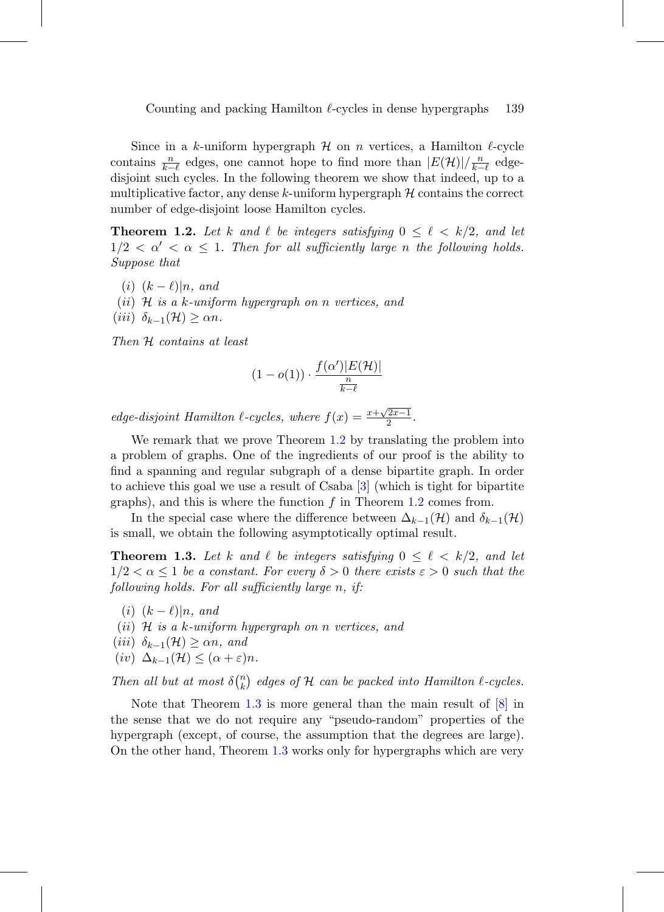Since in a k-uniform hypergraph  $H$  on n vertices, a Hamilton  $\ell$ -cycle contains  $\frac{n}{k-\ell}$  edges, one cannot hope to find more than  $|E(\mathcal{H})|/\frac{n}{k-\ell}$  edgedisjoint such cycles. In the following theorem we show that indeed, up to a multiplicative factor, any dense k-uniform hypergraph  $\mathcal H$  contains the correct number of edge-disjoint loose Hamilton cycles.

<span id="page-4-0"></span>**Theorem 1.2.** Let k and  $\ell$  be integers satisfying  $0 \leq \ell \leq k/2$ , and let  $1/2 < \alpha' < \alpha \leq 1$ . Then for all sufficiently large n the following holds. Suppose that

 $(i)$   $(k - \ell)|n$ , and

- (ii)  $H$  is a k-uniform hypergraph on n vertices, and
- (iii)  $\delta_{k-1}(\mathcal{H}) \geq \alpha n$ .

Then H contains at least

$$
(1 - o(1)) \cdot \frac{f(\alpha')|E(\mathcal{H})|}{\frac{n}{k - \ell}}
$$

edge-disjoint Hamilton  $\ell$ -cycles, where  $f(x) = \frac{x + \sqrt{2x-1}}{2}$ .

We remark that we prove Theorem [1.2](#page-4-0) by translating the problem into a problem of graphs. One of the ingredients of our proof is the ability to find a spanning and regular subgraph of a dense bipartite graph. In order to achieve this goal we use a result of Csaba [\[3\]](#page-19-4) (which is tight for bipartite graphs), and this is where the function  $f$  in Theorem [1.2](#page-4-0) comes from.

In the special case where the difference between  $\Delta_{k-1}(\mathcal{H})$  and  $\delta_{k-1}(\mathcal{H})$ is small, we obtain the following asymptotically optimal result.

<span id="page-4-1"></span>**Theorem 1.3.** Let k and  $\ell$  be integers satisfying  $0 \leq \ell \leq k/2$ , and let  $1/2 < \alpha \leq 1$  be a constant. For every  $\delta > 0$  there exists  $\varepsilon > 0$  such that the following holds. For all sufficiently large n, if:

- $(i)$   $(k \ell)|n$ , and
- (ii)  $\mathcal H$  is a k-uniform hypergraph on n vertices, and
- (iii)  $\delta_{k-1}(\mathcal{H}) \geq \alpha n$ , and
- (iv)  $\Delta_{k-1}(\mathcal{H}) \leq (\alpha + \varepsilon)n$ .

Then all but at most  $\delta\binom{n}{k}$  $\binom{n}{k}$  edges of H can be packed into Hamilton  $\ell$ -cycles.

Note that Theorem [1.3](#page-4-1) is more general than the main result of  $[8]$  in the sense that we do not require any "pseudo-random" properties of the hypergraph (except, of course, the assumption that the degrees are large). On the other hand, Theorem [1.3](#page-4-1) works only for hypergraphs which are very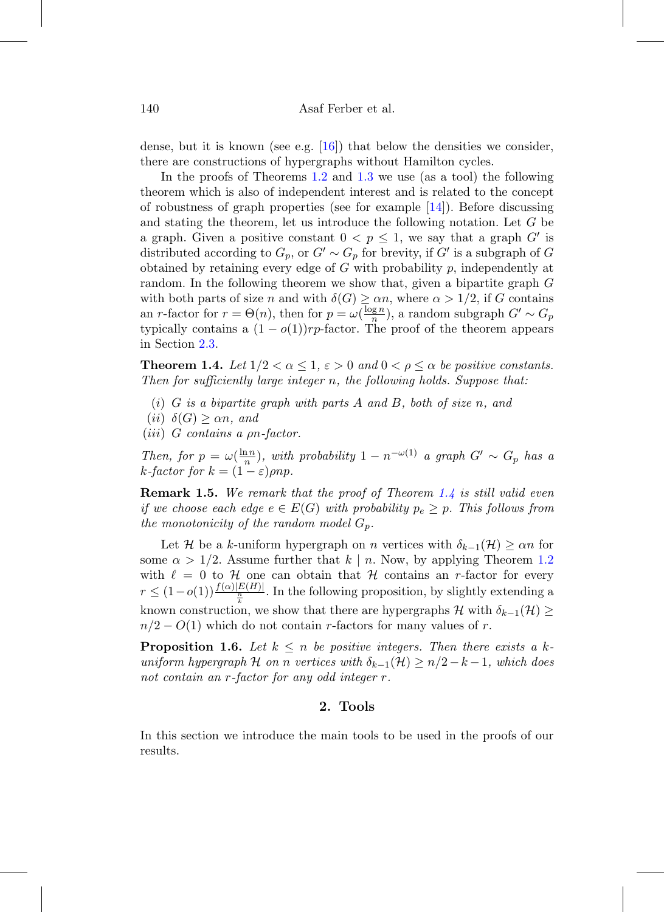dense, but it is known (see e.g.  $[16]$ ) that below the densities we consider, there are constructions of hypergraphs without Hamilton cycles.

In the proofs of Theorems [1.2](#page-4-0) and [1.3](#page-4-1) we use (as a tool) the following theorem which is also of independent interest and is related to the concept of robustness of graph properties (see for example  $[14]$ ). Before discussing and stating the theorem, let us introduce the following notation. Let G be a graph. Given a positive constant  $0 < p \leq 1$ , we say that a graph G' is distributed according to  $G_p$ , or  $G' \sim G_p$  for brevity, if  $G'$  is a subgraph of G obtained by retaining every edge of  $G$  with probability  $p$ , independently at random. In the following theorem we show that, given a bipartite graph G with both parts of size n and with  $\delta(G) \ge \alpha n$ , where  $\alpha > 1/2$ , if G contains an r-factor for  $r = \Theta(n)$ , then for  $p = \omega(\frac{\log n}{n})$ , a random subgraph  $G' \sim G_p$ typically contains a  $(1 - o(1))rp$ -factor. The proof of the theorem appears in Section [2.3.](#page-7-0)

<span id="page-5-0"></span>**Theorem 1.4.** Let  $1/2 < \alpha \leq 1$ ,  $\varepsilon > 0$  and  $0 < \rho \leq \alpha$  be positive constants. Then for sufficiently large integer n, the following holds. Suppose that:

- $(i)$  G is a bipartite graph with parts A and B, both of size n, and
- (*ii*)  $\delta(G) \ge \alpha n$ , and
- (iii) G contains a ρn-factor.

Then, for  $p = \omega(\frac{\ln n}{n})$ , with probability  $1 - n^{-\omega(1)}$  a graph  $G' \sim G_p$  has a k-factor for  $k = (1 - \varepsilon) \rho np$ .

<span id="page-5-1"></span>**Remark 1.5.** We remark that the proof of Theorem [1.4](#page-5-0) is still valid even if we choose each edge  $e \in E(G)$  with probability  $p_e \geq p$ . This follows from the monotonicity of the random model  $G_p$ .

Let H be a k-uniform hypergraph on n vertices with  $\delta_{k-1}(\mathcal{H}) \geq \alpha n$  for some  $\alpha > 1/2$ . Assume further that  $k \mid n$ . Now, by applying Theorem [1.2](#page-4-0) with  $\ell = 0$  to H one can obtain that H contains an r-factor for every  $r \leq (1 - o(1)) \frac{f(\alpha)|E(H)|}{\frac{n}{k}}$ . In the following proposition, by slightly extending a known construction, we show that there are hypergraphs  $\mathcal H$  with  $\delta_{k-1}(\mathcal H) \geq$  $n/2 - O(1)$  which do not contain r-factors for many values of r.

<span id="page-5-2"></span>**Proposition 1.6.** Let  $k \leq n$  be positive integers. Then there exists a kuniform hypergraph H on n vertices with  $\delta_{k-1}(\mathcal{H}) \geq n/2-k-1$ , which does not contain an r-factor for any odd integer r.

## **2. Tools**

In this section we introduce the main tools to be used in the proofs of our results.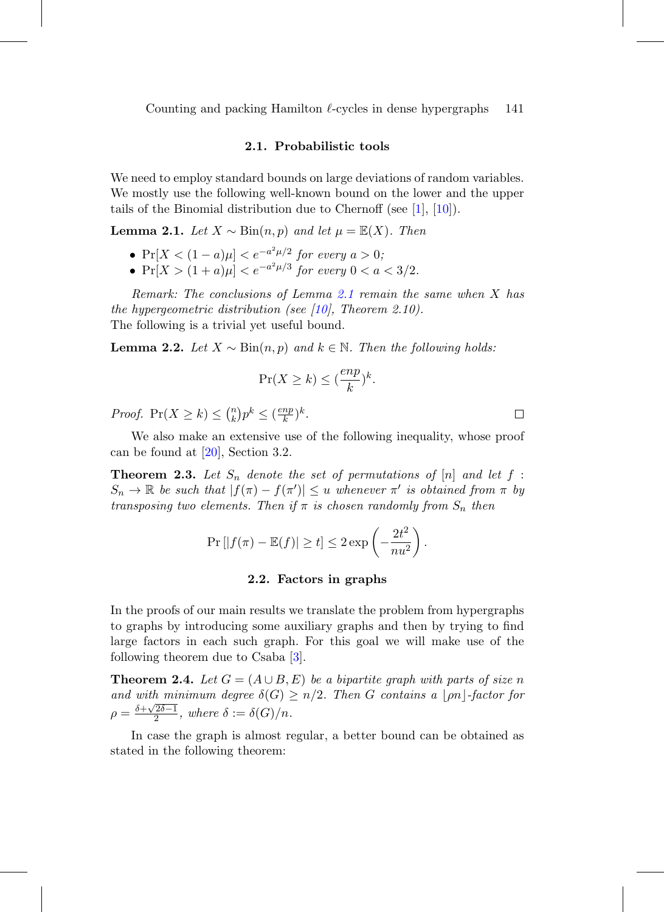Counting and packing Hamilton  $\ell$ -cycles in dense hypergraphs 141

#### **2.1. Probabilistic tools**

We need to employ standard bounds on large deviations of random variables. We mostly use the following well-known bound on the lower and the upper tails of the Binomial distribution due to Chernoff (see [\[1\]](#page-19-5), [\[10\]](#page-20-9)).

<span id="page-6-0"></span>**Lemma 2.1.** Let  $X \sim Bin(n, p)$  and let  $\mu = \mathbb{E}(X)$ . Then

- $Pr[X < (1 a)\mu] < e^{-a^2\mu/2}$  for every  $a > 0$ ;
- $Pr[X > (1+a)\mu] < e^{-a^2\mu/3}$  for every  $0 < a < 3/2$ .

Remark: The conclusions of Lemma [2.1](#page-6-0) remain the same when X has the hypergeometric distribution (see [\[10\]](#page-20-9), Theorem 2.10). The following is a trivial yet useful bound.

**Lemma 2.2.** Let  $X \sim Bin(n, p)$  and  $k \in \mathbb{N}$ . Then the following holds:

$$
\Pr(X \ge k) \le \left(\frac{enp}{k}\right)^k.
$$

*Proof.*  $Pr(X \ge k) \le {n \choose k}$  ${k \choose k} p^k \leq \left(\frac{enp}{k}\right)^k$ .

We also make an extensive use of the following inequality, whose proof can be found at [\[20\]](#page-20-10), Section 3.2.

<span id="page-6-1"></span>**Theorem 2.3.** Let  $S_n$  denote the set of permutations of  $[n]$  and let  $f$ :  $S_n \to \mathbb{R}$  be such that  $|f(\pi) - f(\pi')| \leq u$  whenever  $\pi'$  is obtained from  $\pi$  by transposing two elements. Then if  $\pi$  is chosen randomly from  $S_n$  then

$$
\Pr\left[|f(\pi) - \mathbb{E}(f)| \ge t\right] \le 2 \exp\left(-\frac{2t^2}{nu^2}\right).
$$

#### **2.2. Factors in graphs**

In the proofs of our main results we translate the problem from hypergraphs to graphs by introducing some auxiliary graphs and then by trying to find large factors in each such graph. For this goal we will make use of the following theorem due to Csaba [\[3\]](#page-19-4).

<span id="page-6-2"></span>**Theorem 2.4.** Let  $G = (A \cup B, E)$  be a bipartite graph with parts of size n and with minimum degree  $\delta(G) \geq n/2$ . Then G contains a  $|\rho n|$ -factor for  $\rho = \frac{\delta + \sqrt{2\delta - 1}}{2}$ , where  $\delta := \delta(G)/n$ .

In case the graph is almost regular, a better bound can be obtained as stated in the following theorem:

 $\Box$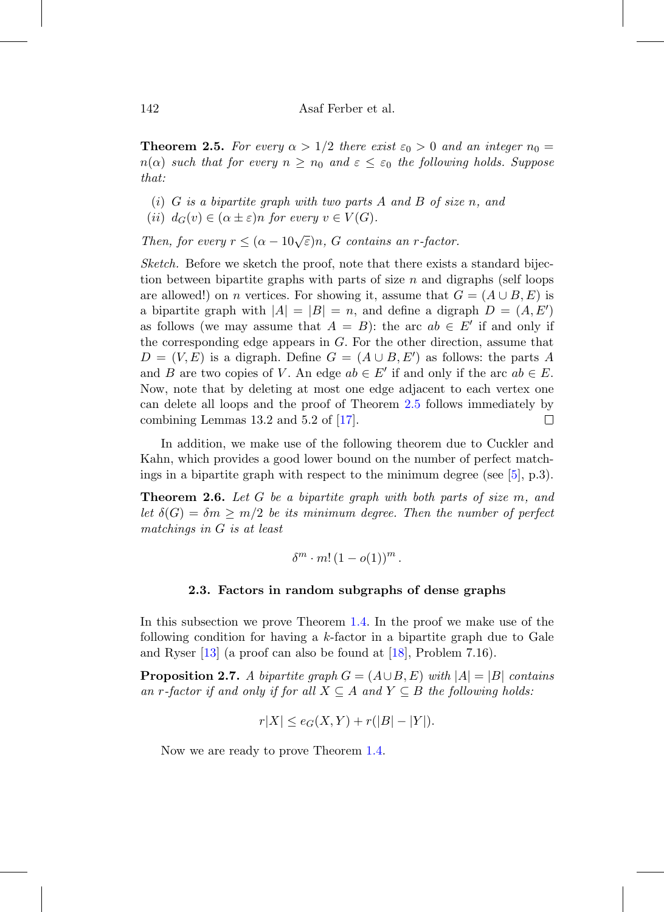<span id="page-7-1"></span>**Theorem 2.5.** For every  $\alpha > 1/2$  there exist  $\varepsilon_0 > 0$  and an integer  $n_0 =$  $n(\alpha)$  such that for every  $n \geq n_0$  and  $\varepsilon \leq \varepsilon_0$  the following holds. Suppose that:

- $(i)$  G is a bipartite graph with two parts A and B of size n, and
- (ii)  $d_G(v) \in (\alpha \pm \varepsilon)n$  for every  $v \in V(G)$ .

Then, for every  $r \leq (\alpha - 10\sqrt{\varepsilon})n$ , G contains an r-factor.

Sketch. Before we sketch the proof, note that there exists a standard bijection between bipartite graphs with parts of size  $n$  and digraphs (self loops are allowed!) on *n* vertices. For showing it, assume that  $G = (A \cup B, E)$  is a bipartite graph with  $|A| = |B| = n$ , and define a digraph  $D = (A, E')$ as follows (we may assume that  $A = B$ ): the arc  $ab \in E'$  if and only if the corresponding edge appears in  $G$ . For the other direction, assume that  $D = (V, E)$  is a digraph. Define  $G = (A \cup B, E')$  as follows: the parts A and B are two copies of V. An edge  $ab \in E'$  if and only if the arc  $ab \in E$ . Now, note that by deleting at most one edge adjacent to each vertex one can delete all loops and the proof of Theorem [2.5](#page-7-1) follows immediately by combining Lemmas 13.2 and 5.2 of [\[17\]](#page-20-11).  $\Box$ 

In addition, we make use of the following theorem due to Cuckler and Kahn, which provides a good lower bound on the number of perfect matchings in a bipartite graph with respect to the minimum degree (see  $[5]$ , p.3).

<span id="page-7-3"></span>**Theorem 2.6.** Let G be a bipartite graph with both parts of size m, and let  $\delta(G) = \delta m \ge m/2$  be its minimum degree. Then the number of perfect matchings in G is at least

$$
\delta^m \cdot m! \left(1 - o(1)\right)^m.
$$

#### **2.3. Factors in random subgraphs of dense graphs**

<span id="page-7-0"></span>In this subsection we prove Theorem [1.4.](#page-5-0) In the proof we make use of the following condition for having a  $k$ -factor in a bipartite graph due to Gale and Ryser [\[13\]](#page-20-12) (a proof can also be found at [\[18\]](#page-20-13), Problem 7.16).

<span id="page-7-2"></span>**Proposition 2.7.** A bipartite graph  $G = (A \cup B, E)$  with  $|A| = |B|$  contains an r-factor if and only if for all  $X \subseteq A$  and  $Y \subseteq B$  the following holds:

$$
r|X| \le e_G(X, Y) + r(|B| - |Y|).
$$

Now we are ready to prove Theorem [1.4.](#page-5-0)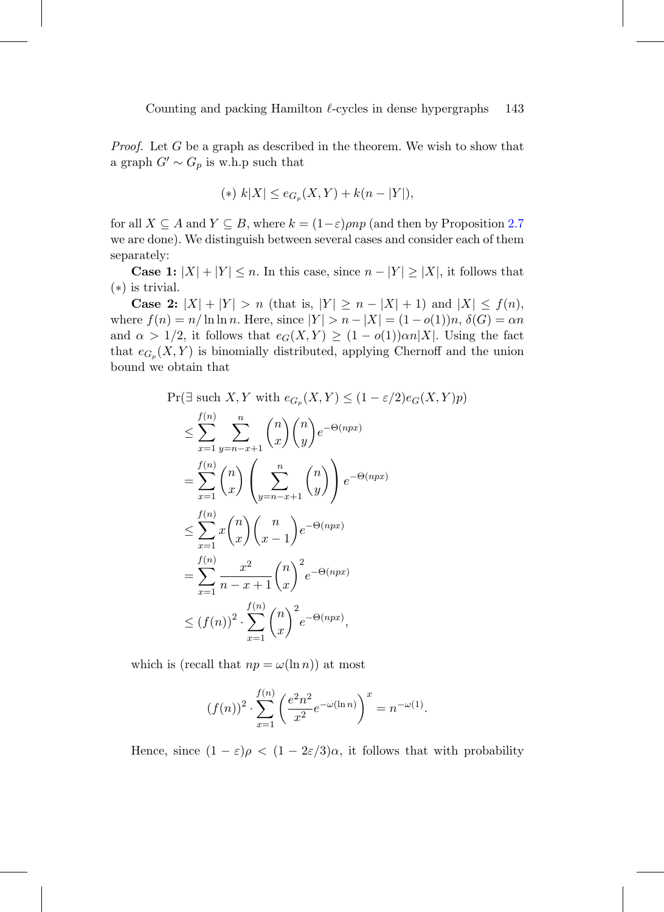Proof. Let G be a graph as described in the theorem. We wish to show that a graph  $G' \sim G_p$  is w.h.p such that

$$
(*) k|X| \le e_{G_p}(X,Y) + k(n-|Y|),
$$

for all  $X \subseteq A$  and  $Y \subseteq B$ , where  $k = (1 - \varepsilon) \rho np$  (and then by Proposition [2.7](#page-7-2)) we are done). We distinguish between several cases and consider each of them separately:

**Case 1:**  $|X| + |Y| \le n$ . In this case, since  $n - |Y| \ge |X|$ , it follows that (∗) is trivial.

**Case 2:**  $|X| + |Y| > n$  (that is,  $|Y| \ge n - |X| + 1$ ) and  $|X| \le f(n)$ , where  $f(n) = n/\ln \ln n$ . Here, since  $|Y| > n - |X| = (1 - o(1))n$ ,  $\delta(G) = \alpha n$ and  $\alpha > 1/2$ , it follows that  $e_G(X, Y) \geq (1 - o(1))\alpha n |X|$ . Using the fact that  $e_{G_p}(X, Y)$  is binomially distributed, applying Chernoff and the union bound we obtain that

$$
\Pr(\exists \text{ such } X, Y \text{ with } e_{G_p}(X, Y) \le (1 - \varepsilon/2) e_G(X, Y)p)
$$
\n
$$
\le \sum_{x=1}^{f(n)} \sum_{y=n-x+1}^n \binom{n}{x} \binom{n}{y} e^{-\Theta(npx)}
$$
\n
$$
= \sum_{x=1}^{f(n)} \binom{n}{x} \left(\sum_{y=n-x+1}^n \binom{n}{y}\right) e^{-\Theta(npx)}
$$
\n
$$
\le \sum_{x=1}^{f(n)} x \binom{n}{x} \binom{n}{x-1} e^{-\Theta(npx)}
$$
\n
$$
= \sum_{x=1}^{f(n)} \frac{x^2}{n-x+1} \binom{n}{x}^2 e^{-\Theta(npx)}
$$
\n
$$
\le (f(n))^2 \cdot \sum_{x=1}^{f(n)} \binom{n}{x}^2 e^{-\Theta(npx)},
$$

which is (recall that  $np = \omega(\ln n)$ ) at most

$$
(f(n))^{2} \cdot \sum_{x=1}^{f(n)} \left( \frac{e^{2}n^{2}}{x^{2}} e^{-\omega(\ln n)} \right)^{x} = n^{-\omega(1)}.
$$

Hence, since  $(1 - \varepsilon)\rho < (1 - 2\varepsilon/3)\alpha$ , it follows that with probability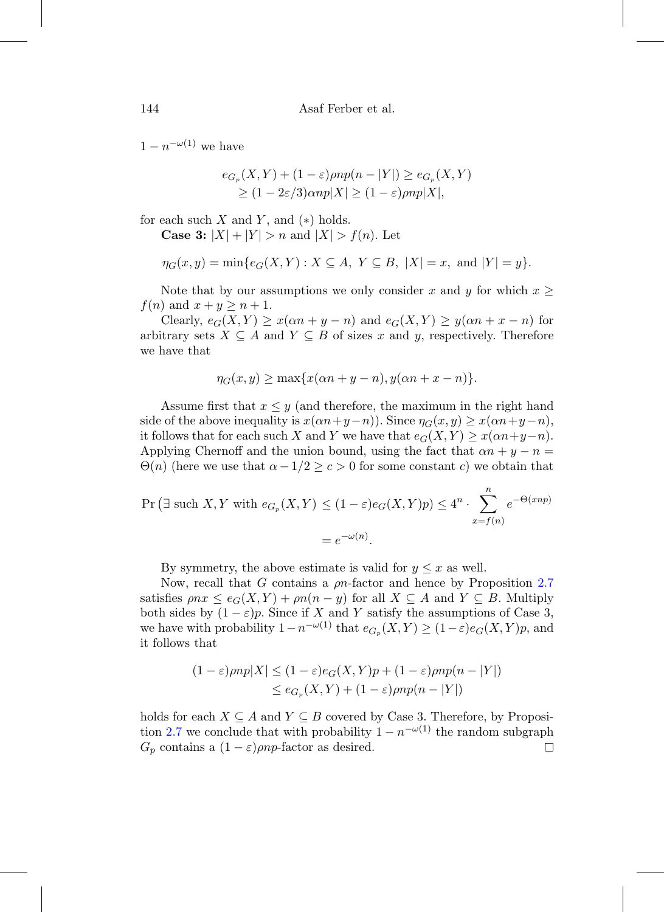$1-n^{-\omega(1)}$  we have

$$
e_{G_p}(X,Y) + (1 - \varepsilon) \rho np(n - |Y|) \ge e_{G_p}(X,Y)
$$
  
\n
$$
\ge (1 - 2\varepsilon/3) \alpha np|X| \ge (1 - \varepsilon) \rho np|X|,
$$

for each such  $X$  and  $Y$ , and  $(*)$  holds.

**Case 3:**  $|X| + |Y| > n$  and  $|X| > f(n)$ . Let

$$
\eta_G(x, y) = \min\{e_G(X, Y) : X \subseteq A, Y \subseteq B, |X| = x, \text{ and } |Y| = y\}.
$$

Note that by our assumptions we only consider x and y for which  $x \geq$  $f(n)$  and  $x + y \geq n + 1$ .

Clearly,  $e_G(X, Y) \geq x(\alpha n + y - n)$  and  $e_G(X, Y) \geq y(\alpha n + x - n)$  for arbitrary sets  $X \subseteq A$  and  $Y \subseteq B$  of sizes x and y, respectively. Therefore we have that

$$
\eta_G(x,y) \ge \max\{x(\alpha n + y - n), y(\alpha n + x - n)\}.
$$

Assume first that  $x \leq y$  (and therefore, the maximum in the right hand side of the above inequality is  $x(\alpha n+y-n)$ . Since  $\eta_G(x, y) \geq x(\alpha n+y-n)$ , it follows that for each such X and Y we have that  $e_G(X, Y) \geq x(\alpha n + y - n)$ . Applying Chernoff and the union bound, using the fact that  $\alpha n + y - n =$  $\Theta(n)$  (here we use that  $\alpha - 1/2 \geq c > 0$  for some constant c) we obtain that

$$
\Pr\left(\exists \text{ such } X, Y \text{ with } e_{G_p}(X, Y) \le (1 - \varepsilon)e_G(X, Y)p\right) \le 4^n \cdot \sum_{x = f(n)}^n e^{-\Theta(xnp)}
$$

$$
= e^{-\omega(n)}.
$$

By symmetry, the above estimate is valid for  $y \leq x$  as well.

Now, recall that  $G$  contains a  $\rho n$ -factor and hence by Proposition [2.7](#page-7-2) satisfies  $\rho nx \leq e_G(X, Y) + \rho n(n - y)$  for all  $X \subseteq A$  and  $Y \subseteq B$ . Multiply both sides by  $(1 - \varepsilon)p$ . Since if X and Y satisfy the assumptions of Case 3, we have with probability  $1-n^{-\omega(1)}$  that  $e_{G_p}(X, Y) \geq (1-\varepsilon)e_G(X, Y)p$ , and it follows that

$$
(1 - \varepsilon) \rho np|X| \le (1 - \varepsilon) e_G(X, Y)p + (1 - \varepsilon) \rho np(n - |Y|)
$$
  
\n
$$
\le e_{G_p}(X, Y) + (1 - \varepsilon) \rho np(n - |Y|)
$$

holds for each  $X \subseteq A$  and  $Y \subseteq B$  covered by Case 3. Therefore, by Proposi-tion [2.7](#page-7-2) we conclude that with probability  $1 - n^{-\omega(1)}$  the random subgraph  $G_p$  contains a  $(1 - \varepsilon) \rho np$ -factor as desired.  $\Box$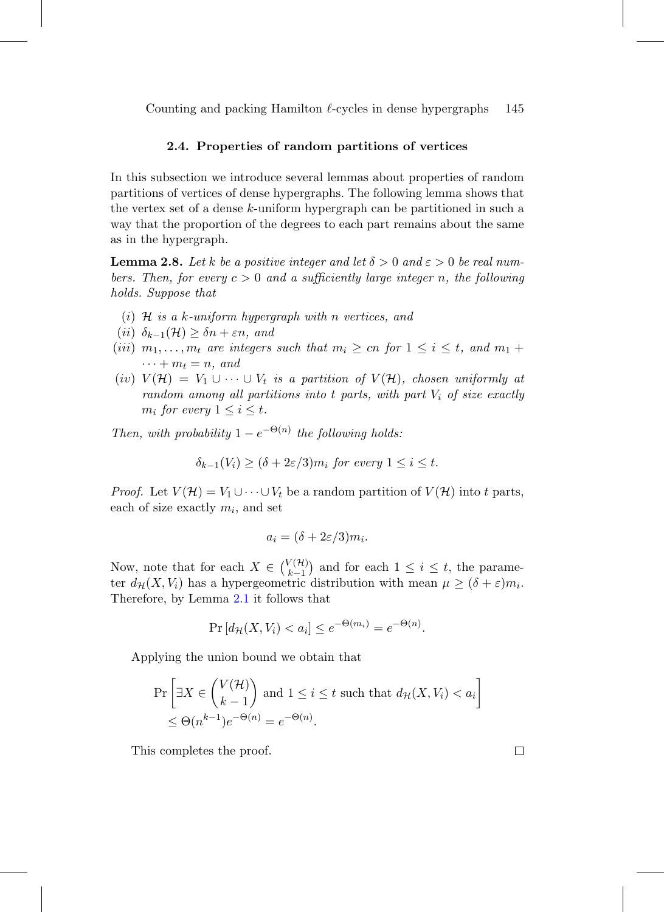<span id="page-10-1"></span>Counting and packing Hamilton  $\ell$ -cycles in dense hypergraphs 145

#### **2.4. Properties of random partitions of vertices**

In this subsection we introduce several lemmas about properties of random partitions of vertices of dense hypergraphs. The following lemma shows that the vertex set of a dense k-uniform hypergraph can be partitioned in such a way that the proportion of the degrees to each part remains about the same as in the hypergraph.

<span id="page-10-0"></span>**Lemma 2.8.** Let k be a positive integer and let  $\delta > 0$  and  $\varepsilon > 0$  be real numbers. Then, for every  $c > 0$  and a sufficiently large integer n, the following holds. Suppose that

- (i)  $\mathcal H$  is a k-uniform hypergraph with n vertices, and
- (ii)  $\delta_{k-1}(\mathcal{H}) \geq \delta n + \varepsilon n$ , and
- (iii)  $m_1, \ldots, m_t$  are integers such that  $m_i \geq cn$  for  $1 \leq i \leq t$ , and  $m_1 +$  $\cdots + m_t = n$ , and
- (iv)  $V(\mathcal{H}) = V_1 \cup \cdots \cup V_t$  is a partition of  $V(\mathcal{H})$ , chosen uniformly at random among all partitions into  $t$  parts, with part  $V_i$  of size exactly  $m_i$  for every  $1 \leq i \leq t$ .

Then, with probability  $1 - e^{-\Theta(n)}$  the following holds:

$$
\delta_{k-1}(V_i) \ge (\delta + 2\varepsilon/3)m_i \text{ for every } 1 \le i \le t.
$$

*Proof.* Let  $V(\mathcal{H}) = V_1 \cup \cdots \cup V_t$  be a random partition of  $V(\mathcal{H})$  into t parts, each of size exactly  $m_i$ , and set

$$
a_i = (\delta + 2\varepsilon/3)m_i.
$$

Now, note that for each  $X \in \binom{V(\mathcal{H})}{k-1}$  $\binom{n}{k-1}$  and for each  $1 \leq i \leq t$ , the parameter  $d_{\mathcal{H}}(X, V_i)$  has a hypergeometric distribution with mean  $\mu \geq (\delta + \varepsilon) m_i$ . Therefore, by Lemma [2.1](#page-6-0) it follows that

$$
\Pr\left[d_{\mathcal{H}}(X, V_i) < a_i\right] \le e^{-\Theta(m_i)} = e^{-\Theta(n)}.
$$

Applying the union bound we obtain that

$$
\Pr\left[\exists X \in \binom{V(\mathcal{H})}{k-1} \text{ and } 1 \le i \le t \text{ such that } d_{\mathcal{H}}(X, V_i) < a_i\right] \le \Theta(n^{k-1})e^{-\Theta(n)} = e^{-\Theta(n)}.
$$

This completes the proof.

 $\Box$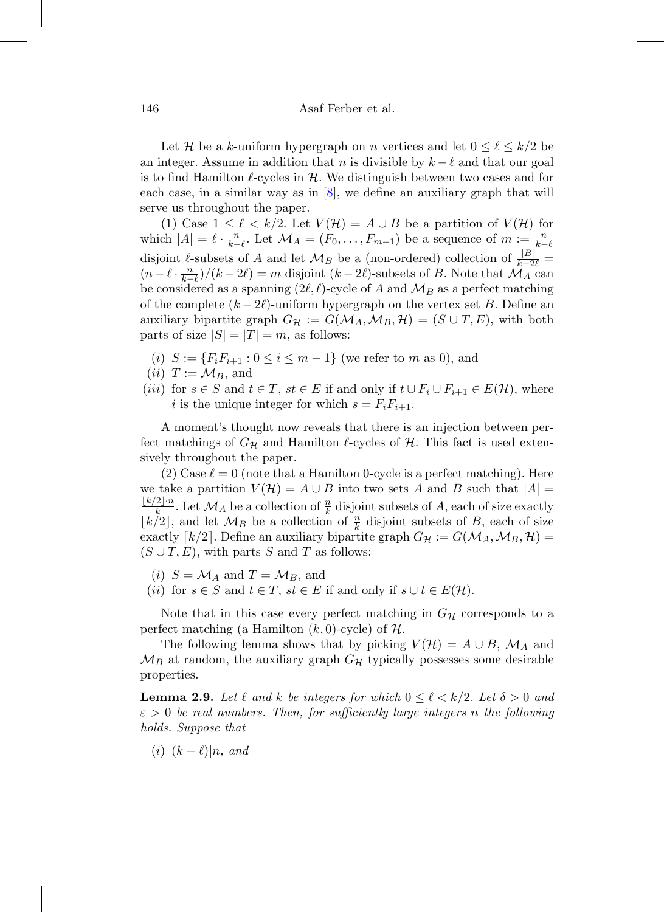Let H be a k-uniform hypergraph on n vertices and let  $0 \leq \ell \leq k/2$  be an integer. Assume in addition that n is divisible by  $k - \ell$  and that our goal is to find Hamilton  $\ell$ -cycles in  $\mathcal{H}$ . We distinguish between two cases and for each case, in a similar way as in  $[8]$ , we define an auxiliary graph that will serve us throughout the paper.

(1) Case  $1 \leq \ell < k/2$ . Let  $V(\mathcal{H}) = A \cup B$  be a partition of  $V(\mathcal{H})$  for which  $|A| = \ell \cdot \frac{n}{k-\ell}$ . Let  $\mathcal{M}_A = (F_0, \ldots, F_{m-1})$  be a sequence of  $m := \frac{n}{k-\ell}$ disjoint  $\ell$ -subsets of A and let  $\mathcal{M}_B$  be a (non-ordered) collection of  $\frac{|B|}{k-2\ell}$  $\left(n-\ell\cdot\frac{n}{k-\ell}\right)/(k-2\ell) = m$  disjoint  $(k-2\ell)$ -subsets of B. Note that  $\mathcal{M}_A$  can be considered as a spanning  $(2\ell, \ell)$ -cycle of A and  $\mathcal{M}_B$  as a perfect matching of the complete  $(k - 2\ell)$ -uniform hypergraph on the vertex set B. Define an auxiliary bipartite graph  $G_{\mathcal{H}} := G(\mathcal{M}_A, \mathcal{M}_B, \mathcal{H}) = (S \cup T, E)$ , with both parts of size  $|S| = |T| = m$ , as follows:

- (i)  $S := \{F_i F_{i+1} : 0 \le i \le m-1\}$  (we refer to m as 0), and
- (*ii*)  $T := \mathcal{M}_B$ , and
- (*iii*) for  $s \in S$  and  $t \in T$ ,  $st \in E$  if and only if  $t \cup F_i \cup F_{i+1} \in E(H)$ , where i is the unique integer for which  $s = F_i F_{i+1}$ .

A moment's thought now reveals that there is an injection between perfect matchings of  $G_{\mathcal{H}}$  and Hamilton  $\ell$ -cycles of  $\mathcal{H}$ . This fact is used extensively throughout the paper.

(2) Case  $\ell = 0$  (note that a Hamilton 0-cycle is a perfect matching). Here we take a partition  $V(H) = A \cup B$  into two sets A and B such that  $|A| =$  $\frac{\lfloor k/2 \rfloor \cdot n}{k}$ . Let  $\mathcal{M}_A$  be a collection of  $\frac{n}{k}$  disjoint subsets of A, each of size exactly  $\lfloor k/2 \rfloor$ , and let  $\mathcal{M}_B$  be a collection of  $\frac{n}{k}$  disjoint subsets of B, each of size exactly  $\lceil k/2 \rceil$ . Define an auxiliary bipartite graph  $G_{\mathcal{H}} := G(\mathcal{M}_A, \mathcal{M}_B, \mathcal{H}) =$  $(S \cup T, E)$ , with parts S and T as follows:

- (i)  $S = \mathcal{M}_A$  and  $T = \mathcal{M}_B$ , and
- (ii) for  $s \in S$  and  $t \in T$ ,  $st \in E$  if and only if  $s \cup t \in E(\mathcal{H})$ .

Note that in this case every perfect matching in  $G_{\mathcal{H}}$  corresponds to a perfect matching (a Hamilton  $(k, 0)$ -cycle) of  $\mathcal{H}$ .

The following lemma shows that by picking  $V(\mathcal{H}) = A \cup B$ ,  $\mathcal{M}_A$  and  $\mathcal{M}_B$  at random, the auxiliary graph  $G_{\mathcal{H}}$  typically possesses some desirable properties.

<span id="page-11-0"></span>**Lemma 2.9.** Let  $\ell$  and  $k$  be integers for which  $0 \leq \ell \leq k/2$ . Let  $\delta > 0$  and  $\varepsilon > 0$  be real numbers. Then, for sufficiently large integers n the following holds. Suppose that

 $(i)$   $(k - \ell)|n$ , and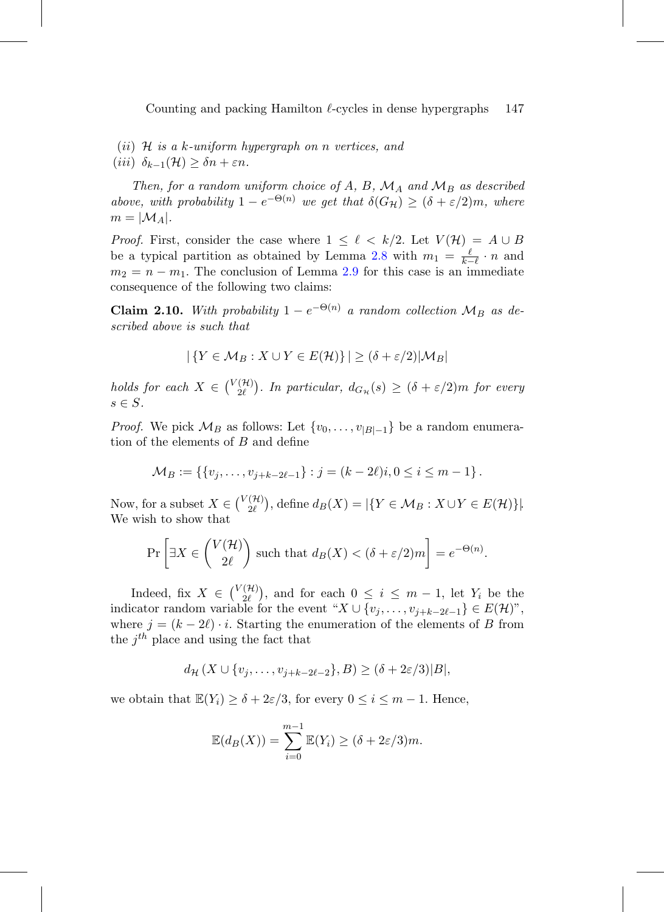(*ii*)  $H$  *is a k-uniform hypergraph on n vertices, and* (iii)  $\delta_{k-1}(\mathcal{H}) \geq \delta n + \varepsilon n$ .

Then, for a random uniform choice of A, B,  $\mathcal{M}_A$  and  $\mathcal{M}_B$  as described above, with probability  $1 - e^{-\Theta(n)}$  we get that  $\delta(G_{\mathcal{H}}) \geq (\delta + \varepsilon/2)m$ , where  $m = |\mathcal{M}_A|.$ 

*Proof.* First, consider the case where  $1 \leq \ell \leq k/2$ . Let  $V(\mathcal{H}) = A \cup B$ be a typical partition as obtained by Lemma [2.8](#page-10-0) with  $m_1 = \frac{\ell}{k-\ell} \cdot n$  and  $m_2 = n - m_1$ . The conclusion of Lemma [2.9](#page-11-0) for this case is an immediate consequence of the following two claims:

<span id="page-12-0"></span>**Claim 2.10.** With probability  $1 - e^{-\Theta(n)}$  a random collection  $\mathcal{M}_B$  as described above is such that

$$
|\{Y \in \mathcal{M}_B : X \cup Y \in E(\mathcal{H})\}| \ge (\delta + \varepsilon/2)|\mathcal{M}_B|
$$

holds for each  $X \in \binom{V(\mathcal{H})}{2\ell}$ . In particular,  $d_{G_{\mathcal{H}}}(s) \geq (\delta + \varepsilon/2)m$  for every  $s \in S$ .

*Proof.* We pick  $\mathcal{M}_B$  as follows: Let  $\{v_0, \ldots, v_{|B|-1}\}\$  be a random enumeration of the elements of B and define

$$
M_B := \{ \{v_j, \ldots, v_{j+k-2\ell-1}\} : j = (k-2\ell)i, 0 \le i \le m-1 \}.
$$

Now, for a subset  $X \in \binom{V(\mathcal{H})}{2\ell}$ , define  $d_B(X) = |\{Y \in \mathcal{M}_B : X \cup Y \in E(\mathcal{H})\}|$ . We wish to show that

$$
\Pr\left[\exists X \in \binom{V(\mathcal{H})}{2\ell} \text{ such that } d_B(X) < (\delta + \varepsilon/2)m\right] = e^{-\Theta(n)}.
$$

Indeed, fix  $X \in \binom{V(\mathcal{H})}{2\ell}$ , and for each  $0 \leq i \leq m-1$ , let  $Y_i$  be the indicator random variable for the event " $X \cup \{v_j, \ldots, v_{j+k-2\ell-1}\} \in E(\mathcal{H})$ ", where  $j = (k - 2\ell) \cdot i$ . Starting the enumeration of the elements of B from the  $i^{th}$  place and using the fact that

$$
d_{\mathcal{H}}(X \cup \{v_j,\ldots,v_{j+k-2\ell-2}\},B) \geq (\delta+2\varepsilon/3)|B|,
$$

we obtain that  $\mathbb{E}(Y_i) \geq \delta + 2\varepsilon/3$ , for every  $0 \leq i \leq m-1$ . Hence,

$$
\mathbb{E}(d_B(X)) = \sum_{i=0}^{m-1} \mathbb{E}(Y_i) \ge (\delta + 2\varepsilon/3)m.
$$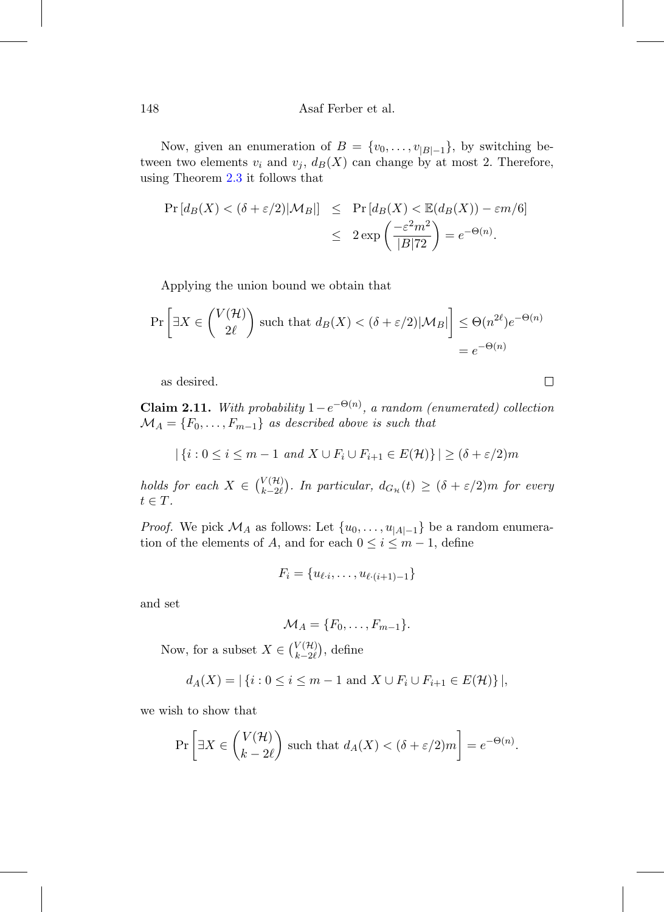Now, given an enumeration of  $B = \{v_0, \ldots, v_{|B|-1}\}\$ , by switching between two elements  $v_i$  and  $v_j$ ,  $d_B(X)$  can change by at most 2. Therefore, using Theorem [2.3](#page-6-1) it follows that

$$
\Pr\left[d_B(X) < (\delta + \varepsilon/2)|\mathcal{M}_B|\right] \leq \Pr\left[d_B(X) < \mathbb{E}(d_B(X)) - \varepsilon m/6\right]
$$
\n
$$
\leq 2\exp\left(\frac{-\varepsilon^2 m^2}{|B|^7 2}\right) = e^{-\Theta(n)}.
$$

Applying the union bound we obtain that

$$
\Pr\left[\exists X \in \binom{V(\mathcal{H})}{2\ell} \text{ such that } d_B(X) < (\delta + \varepsilon/2)|\mathcal{M}_B|\right] \leq \Theta(n^{2\ell})e^{-\Theta(n)} = e^{-\Theta(n)}
$$

as desired.

**Claim 2.11.** With probability  $1-e^{-\Theta(n)}$ , a random (enumerated) collection  $\mathcal{M}_A = \{F_0, \ldots, F_{m-1}\}\$ as described above is such that

$$
|\{i:0\leq i\leq m-1\ and\ X\cup F_i\cup F_{i+1}\in E(\mathcal{H})\}| \geq (\delta+\varepsilon/2)m
$$

holds for each  $X \in \binom{V(\mathcal{H})}{k-2\ell}$  $\binom{V(H)}{k-2\ell}$ . In particular,  $d_{G_{\mathcal{H}}}(t) \geq (\delta + \varepsilon/2)m$  for every  $t \in T$ .

*Proof.* We pick  $\mathcal{M}_A$  as follows: Let  $\{u_0, \ldots, u_{|A|-1}\}$  be a random enumeration of the elements of A, and for each  $0 \leq i \leq m-1$ , define

$$
F_i = \{u_{\ell \cdot i}, \ldots, u_{\ell \cdot (i+1)-1}\}
$$

and set

$$
\mathcal{M}_A = \{F_0, \ldots, F_{m-1}\}.
$$

Now, for a subset  $X \in \binom{V(\mathcal{H})}{k-2\ell}$  $_{k-2\ell}^{V(\mathcal{H})}$ , define

$$
d_A(X) = |\{i : 0 \le i \le m - 1 \text{ and } X \cup F_i \cup F_{i+1} \in E(\mathcal{H})\}|,
$$

we wish to show that

$$
\Pr\left[\exists X \in \binom{V(\mathcal{H})}{k-2\ell} \text{ such that } d_A(X) < (\delta + \varepsilon/2)m\right] = e^{-\Theta(n)}.
$$

 $\Box$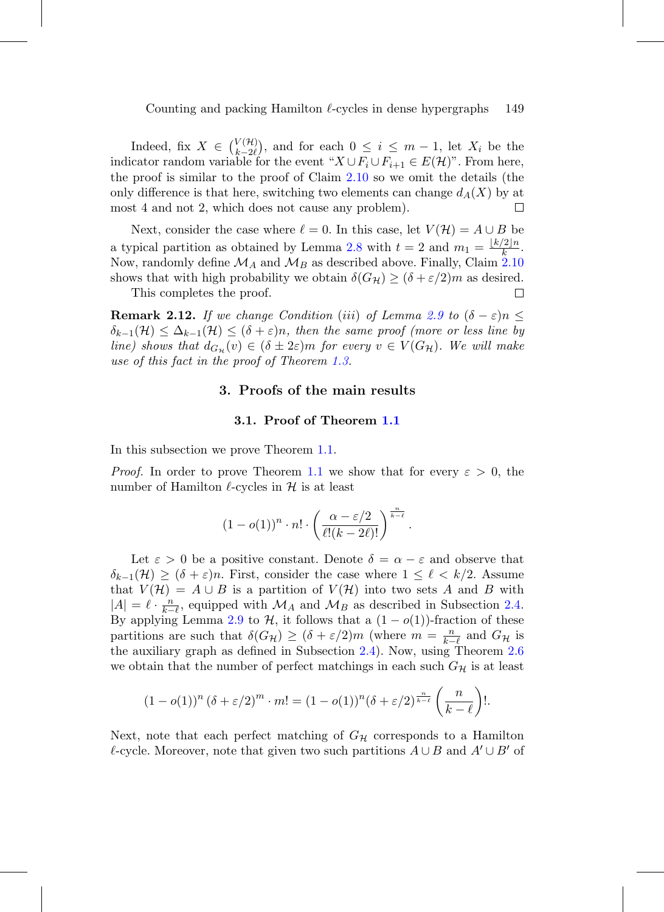Indeed, fix  $X \in \binom{V(\mathcal{H})}{k-\gamma}$  $\binom{V(H)}{k-2\ell}$ , and for each  $0 \leq i \leq m-1$ , let  $X_i$  be the indicator random variable for the event " $X \cup F_i \cup F_{i+1} \in E(H)$ ". From here, the proof is similar to the proof of Claim [2.10](#page-12-0) so we omit the details (the only difference is that here, switching two elements can change  $d_A(X)$  by at most 4 and not 2, which does not cause any problem). П

Next, consider the case where  $\ell = 0$ . In this case, let  $V(\mathcal{H}) = A \cup B$  be a typical partition as obtained by Lemma [2.8](#page-10-0) with  $t = 2$  and  $m_1 = \frac{\lfloor k/2 \rfloor n}{k}$ . Now, randomly define  $\mathcal{M}_A$  and  $\mathcal{M}_B$  as described above. Finally, Claim [2.10](#page-12-0) shows that with high probability we obtain  $\delta(G_{\mathcal{H}}) \geq (\delta + \varepsilon/2)m$  as desired.<br>This completes the proof. This completes the proof.

<span id="page-14-0"></span>**Remark 2.12.** If we change Condition (iii) of Lemma [2.9](#page-11-0) to  $(\delta - \varepsilon)n \leq$  $\delta_{k-1}(\mathcal{H}) \leq \Delta_{k-1}(\mathcal{H}) \leq (\delta + \varepsilon)n$ , then the same proof (more or less line by line) shows that  $d_{G_{\mathcal{H}}}(v) \in (\delta \pm 2\varepsilon)m$  for every  $v \in V(G_{\mathcal{H}})$ . We will make use of this fact in the proof of Theorem [1.3.](#page-4-1)

## **3. Proofs of the main results**

#### **3.1. Proof of Theorem [1.1](#page-3-0)**

In this subsection we prove Theorem [1.1.](#page-3-0)

*Proof.* In order to prove Theorem [1.1](#page-3-0) we show that for every  $\varepsilon > 0$ , the number of Hamilton  $\ell$ -cycles in  $\mathcal H$  is at least

$$
(1-o(1))^n\cdot n!\cdot \left(\frac{\alpha-\varepsilon/2}{\ell!(k-2\ell)!}\right)^{\frac{n}{k-\ell}}
$$

.

Let  $\varepsilon > 0$  be a positive constant. Denote  $\delta = \alpha - \varepsilon$  and observe that  $\delta_{k-1}(\mathcal{H}) \geq (\delta + \varepsilon)n$ . First, consider the case where  $1 \leq \ell \leq k/2$ . Assume that  $V(\mathcal{H}) = A \cup B$  is a partition of  $V(\mathcal{H})$  into two sets A and B with  $|A| = \ell \cdot \frac{n}{k-\ell}$ , equipped with  $\mathcal{M}_A$  and  $\mathcal{M}_B$  as described in Subsection [2.4.](#page-10-1) By applying Lemma [2.9](#page-11-0) to  $H$ , it follows that a  $(1 - o(1))$ -fraction of these partitions are such that  $\delta(G_{\mathcal{H}}) \geq (\delta + \varepsilon/2)m$  (where  $m = \frac{n}{k-\ell}$  and  $G_{\mathcal{H}}$  is the auxiliary graph as defined in Subsection [2.4\)](#page-10-1). Now, using Theorem [2.6](#page-7-3) we obtain that the number of perfect matchings in each such  $G_{\mathcal{H}}$  is at least

$$
(1 - o(1))^n (\delta + \varepsilon/2)^m \cdot m! = (1 - o(1))^n (\delta + \varepsilon/2)^{\frac{n}{k-\ell}} \left(\frac{n}{k-\ell}\right)!.
$$

Next, note that each perfect matching of  $G_{\mathcal{H}}$  corresponds to a Hamilton  $\ell$ -cycle. Moreover, note that given two such partitions  $A \cup B$  and  $A' \cup B'$  of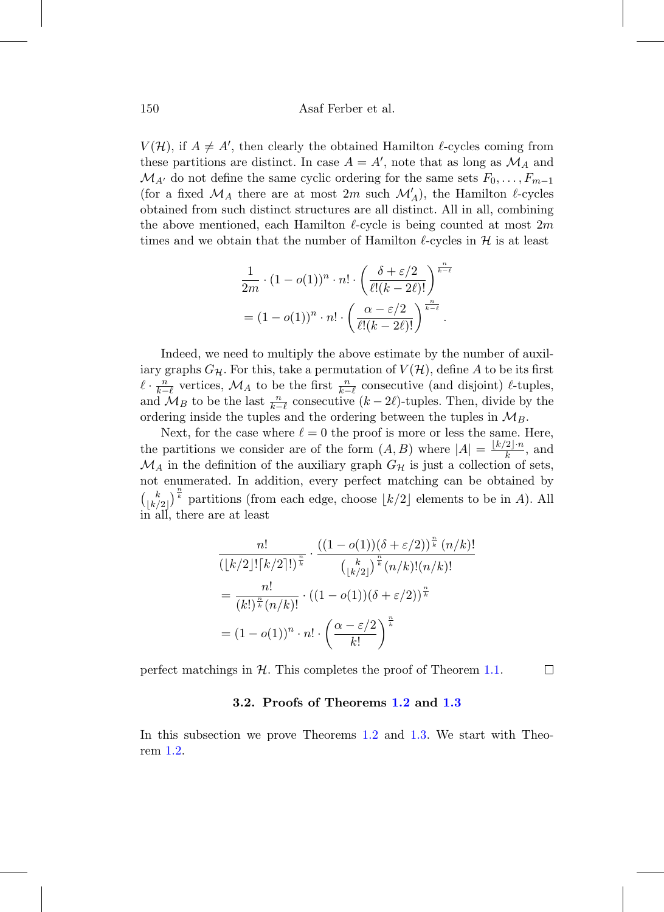$V(\mathcal{H})$ , if  $A \neq A'$ , then clearly the obtained Hamilton  $\ell$ -cycles coming from these partitions are distinct. In case  $A = A'$ , note that as long as  $\mathcal{M}_A$  and  $\mathcal{M}_{A'}$  do not define the same cyclic ordering for the same sets  $F_0, \ldots, F_{m-1}$ (for a fixed  $\mathcal{M}_A$  there are at most 2m such  $\mathcal{M}'_A$ ), the Hamilton  $\ell$ -cycles obtained from such distinct structures are all distinct. All in all, combining the above mentioned, each Hamilton  $\ell$ -cycle is being counted at most  $2m$ times and we obtain that the number of Hamilton  $\ell$ -cycles in  $\mathcal H$  is at least

$$
\frac{1}{2m} \cdot (1 - o(1))^n \cdot n! \cdot \left(\frac{\delta + \varepsilon/2}{\ell!(k-2\ell)!}\right)^{\frac{n}{k-\ell}}
$$

$$
= (1 - o(1))^n \cdot n! \cdot \left(\frac{\alpha - \varepsilon/2}{\ell!(k-2\ell)!}\right)^{\frac{n}{k-\ell}}.
$$

Indeed, we need to multiply the above estimate by the number of auxiliary graphs  $G_{\mathcal{H}}$ . For this, take a permutation of  $V(\mathcal{H})$ , define A to be its first  $\ell \cdot \frac{n}{k-\ell}$  vertices,  $\mathcal{M}_A$  to be the first  $\frac{n}{k-\ell}$  consecutive (and disjoint)  $\ell$ -tuples, and  $\mathcal{M}_B$  to be the last  $\frac{n}{k-\ell}$  consecutive  $(k-2\ell)$ -tuples. Then, divide by the ordering inside the tuples and the ordering between the tuples in  $\mathcal{M}_B$ .

Next, for the case where  $\ell = 0$  the proof is more or less the same. Here, the partitions we consider are of the form  $(A, B)$  where  $|A| = \frac{\lfloor k/2 \rfloor \cdot n}{k}$ , and  $\mathcal{M}_A$  in the definition of the auxiliary graph  $G_\mathcal{H}$  is just a collection of sets, not enumerated. In addition, every perfect matching can be obtained by  $\binom{k}{k}$  $\left[\frac{k}{k/2}\right]^{\frac{n}{k}}$  partitions (from each edge, choose  $\lfloor k/2 \rfloor$  elements to be in A). All in all, there are at least

$$
\frac{n!}{\left(\lfloor k/2 \rfloor!\lceil k/2 \rceil!\right)^{\frac{n}{k}}} \cdot \frac{\left((1-o(1))(\delta+\varepsilon/2)\right)^{\frac{n}{k}}(n/k)!}{\left(\lfloor k/2 \rfloor!\right)^{\frac{n}{k}}(n/k)!(n/k)!}
$$
\n
$$
= \frac{n!}{(k!)^{\frac{n}{k}}(n/k)!} \cdot \left((1-o(1))(\delta+\varepsilon/2)\right)^{\frac{n}{k}}
$$
\n
$$
= (1-o(1))^n \cdot n! \cdot \left(\frac{\alpha-\varepsilon/2}{k!}\right)^{\frac{n}{k}}
$$

perfect matchings in  $H$ . This completes the proof of Theorem [1.1.](#page-3-0)  $\Box$ 

## **3.2. Proofs of Theorems [1.2](#page-4-0) and [1.3](#page-4-1)**

In this subsection we prove Theorems [1.2](#page-4-0) and [1.3.](#page-4-1) We start with Theorem [1.2.](#page-4-0)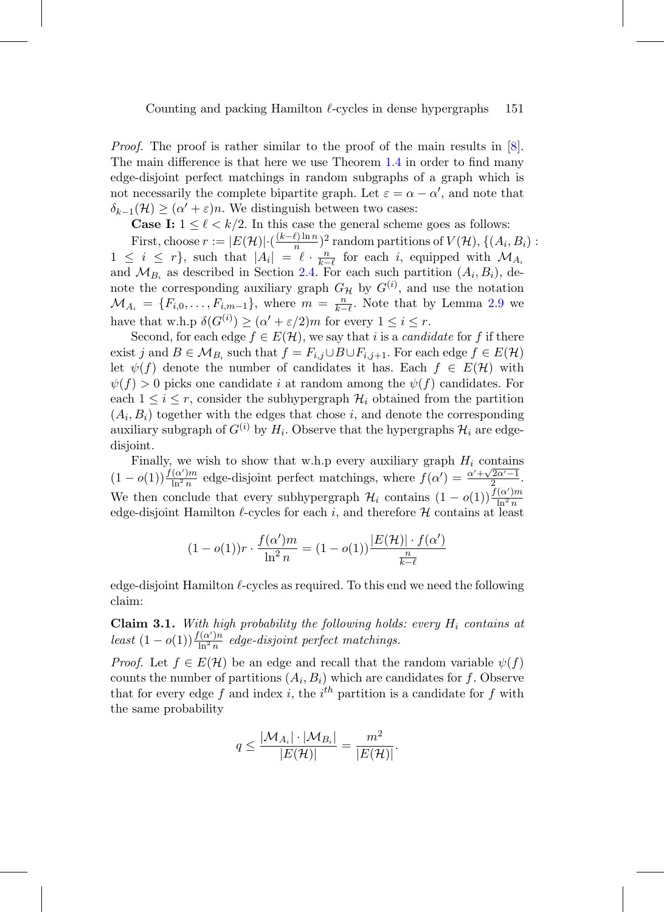*Proof.* The proof is rather similar to the proof of the main results in  $[8]$ . The main difference is that here we use Theorem [1.4](#page-5-0) in order to find many edge-disjoint perfect matchings in random subgraphs of a graph which is not necessarily the complete bipartite graph. Let  $\varepsilon = \alpha - \alpha'$ , and note that  $\delta_{k-1}(\mathcal{H}) \geq (\alpha' + \varepsilon)n$ . We distinguish between two cases:

**Case I:**  $1 \leq \ell < k/2$ . In this case the general scheme goes as follows:

First, choose  $r := |E(\mathcal{H})| \cdot \frac{(k-\ell)\ln n}{n}$  and  $\ell$  partitions of  $V(\mathcal{H})$ ,  $\{(A_i, B_i)$ :  $1 \leq i \leq r$ , such that  $|A_i| = \ell \cdot \frac{n}{k-r}$  for each i, equipped with  $\mathcal{M}_{A_i}$ and  $\mathcal{M}_{B_i}$  as described in Section [2.4.](#page-10-1) For each such partition  $(A_i, B_i)$ , denote the corresponding auxiliary graph  $G_{\mathcal{H}}$  by  $G^{(i)}$ , and use the notation  $\mathcal{M}_{A_i} = \{F_{i,0}, \ldots, F_{i,m-1}\},\$  where  $m = \frac{n}{k-\ell}$ . Note that by Lemma [2.9](#page-11-0) we have that w.h.p  $\delta(G^{(i)}) \geq (\alpha' + \varepsilon/2)m$  for every  $1 \leq i \leq r$ .

Second, for each edge  $f \in E(\mathcal{H})$ , we say that i is a *candidate* for f if there exist j and  $B \in M_{B_i}$  such that  $f = F_{i,j} \cup B \cup F_{i,j+1}$ . For each edge  $f \in E(\mathcal{H})$ let  $\psi(f)$  denote the number of candidates it has. Each  $f \in E(\mathcal{H})$  with  $\psi(f) > 0$  picks one candidate i at random among the  $\psi(f)$  candidates. For each  $1 \leq i \leq r$ , consider the subhypergraph  $\mathcal{H}_i$  obtained from the partition  $(A_i, B_i)$  together with the edges that chose i, and denote the corresponding auxiliary subgraph of  $G^{(i)}$  by  $H_i$ . Observe that the hypergraphs  $\mathcal{H}_i$  are edgedisjoint.

Finally, we wish to show that w.h.p every auxiliary graph  $H_i$  contains  $(1-o(1))\frac{f(\alpha')m}{\ln^2 n}$  edge-disjoint perfect matchings, where  $f(\alpha') = \frac{\alpha' + \sqrt{2\alpha'-1}}{2}$ . We then conclude that every subhypergraph  $\mathcal{H}_i$  contains  $(1 - o(1)) \frac{f(\alpha')m}{\ln^2 n}$  $\ln^2 n$ edge-disjoint Hamilton  $\ell$ -cycles for each i, and therefore  $\mathcal H$  contains at least

$$
(1 - o(1))r \cdot \frac{f(\alpha')m}{\ln^2 n} = (1 - o(1))\frac{|E(\mathcal{H})| \cdot f(\alpha')}{\frac{n}{k - \ell}}
$$

edge-disjoint Hamilton  $\ell$ -cycles as required. To this end we need the following claim:

<span id="page-16-0"></span>**Claim 3.1.** With high probability the following holds: every  $H_i$  contains at least  $(1 - o(1)) \frac{f(\alpha')n}{\ln^2 n}$  edge-disjoint perfect matchings.

*Proof.* Let  $f \in E(\mathcal{H})$  be an edge and recall that the random variable  $\psi(f)$ counts the number of partitions  $(A_i, B_i)$  which are candidates for f. Observe that for every edge f and index i, the i<sup>th</sup> partition is a candidate for f with the same probability

$$
q\leq \frac{|\mathcal{M}_{A_i}|\cdot |\mathcal{M}_{B_i}|}{|E(\mathcal{H})|}=\frac{m^2}{|E(\mathcal{H})|}.
$$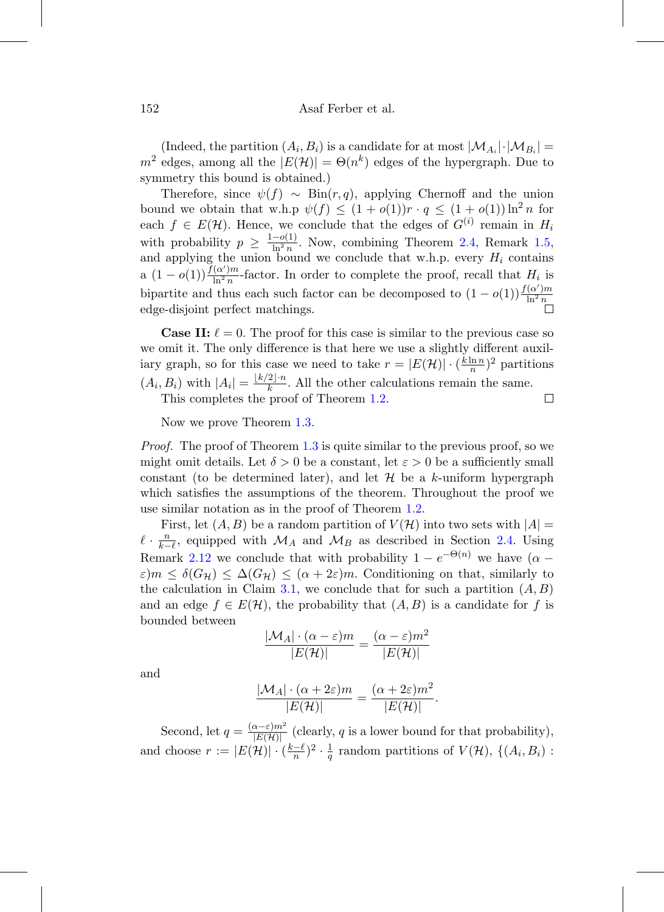(Indeed, the partition  $(A_i, B_i)$  is a candidate for at most  $|\mathcal{M}_{A_i}| \cdot |\mathcal{M}_{B_i}| =$  $m^2$  edges, among all the  $|E(\mathcal{H})| = \Theta(n^k)$  edges of the hypergraph. Due to symmetry this bound is obtained.)

Therefore, since  $\psi(f) \sim \text{Bin}(r, q)$ , applying Chernoff and the union bound we obtain that w.h.p  $\psi(f) \leq (1 + o(1))r \cdot q \leq (1 + o(1))\ln^2 n$  for each  $f \in E(\mathcal{H})$ . Hence, we conclude that the edges of  $G^{(i)}$  remain in  $H_i$ with probability  $p \geq \frac{1-o(1)}{\ln^2 n}$ . Now, combining Theorem [2.4,](#page-6-2) Remark [1.5,](#page-5-1) and applying the union bound we conclude that w.h.p. every  $H_i$  contains a  $(1-o(1))\frac{f(\alpha')m}{\ln^2 n}$ -factor. In order to complete the proof, recall that  $H_i$  is bipartite and thus each such factor can be decomposed to  $(1 - o(1)) \frac{f(\alpha')m}{\ln^2 n}$  $ln^2 n$ edge-disjoint perfect matchings.

**Case II:**  $\ell = 0$ . The proof for this case is similar to the previous case so we omit it. The only difference is that here we use a slightly different auxiliary graph, so for this case we need to take  $r = |E(\mathcal{H})| \cdot (\frac{k \ln n}{n})^2$  partitions  $(A_i, B_i)$  with  $|A_i| = \frac{\lfloor k/2 \rfloor \cdot n}{k}$ . All the other calculations remain the same.

This completes the proof of Theorem [1.2.](#page-4-0)

Now we prove Theorem [1.3.](#page-4-1)

*Proof.* The proof of Theorem [1.3](#page-4-1) is quite similar to the previous proof, so we might omit details. Let  $\delta > 0$  be a constant, let  $\varepsilon > 0$  be a sufficiently small constant (to be determined later), and let  $\mathcal H$  be a k-uniform hypergraph which satisfies the assumptions of the theorem. Throughout the proof we use similar notation as in the proof of Theorem [1.2.](#page-4-0)

First, let  $(A, B)$  be a random partition of  $V(\mathcal{H})$  into two sets with  $|A| =$  $\ell \cdot \frac{n}{k-\ell}$ , equipped with  $\mathcal{M}_A$  and  $\mathcal{M}_B$  as described in Section [2.4.](#page-10-1) Using Remark [2.12](#page-14-0) we conclude that with probability  $1 - e^{-\Theta(n)}$  we have  $(\alpha \varepsilon$ ) $m \leq \delta(G_{\mathcal{H}}) \leq \Delta(G_{\mathcal{H}}) \leq (\alpha + 2\varepsilon)m$ . Conditioning on that, similarly to the calculation in Claim [3.1,](#page-16-0) we conclude that for such a partition  $(A, B)$ and an edge  $f \in E(\mathcal{H})$ , the probability that  $(A, B)$  is a candidate for f is bounded between

$$
\frac{|\mathcal{M}_A| \cdot (\alpha - \varepsilon)m}{|E(\mathcal{H})|} = \frac{(\alpha - \varepsilon)m^2}{|E(\mathcal{H})|}
$$

and

$$
\frac{|\mathcal{M}_A| \cdot (\alpha + 2\varepsilon)m}{|E(\mathcal{H})|} = \frac{(\alpha + 2\varepsilon)m^2}{|E(\mathcal{H})|}.
$$

Second, let  $q = \frac{(\alpha - \varepsilon)m^2}{|E(\mathcal{H})|}$  (clearly, q is a lower bound for that probability), and choose  $r := |E(\mathcal{H})| \cdot (\frac{k-\ell}{n})^2 \cdot \frac{1}{q}$  random partitions of  $V(\mathcal{H})$ ,  $\{(A_i, B_i)$ :

 $\Box$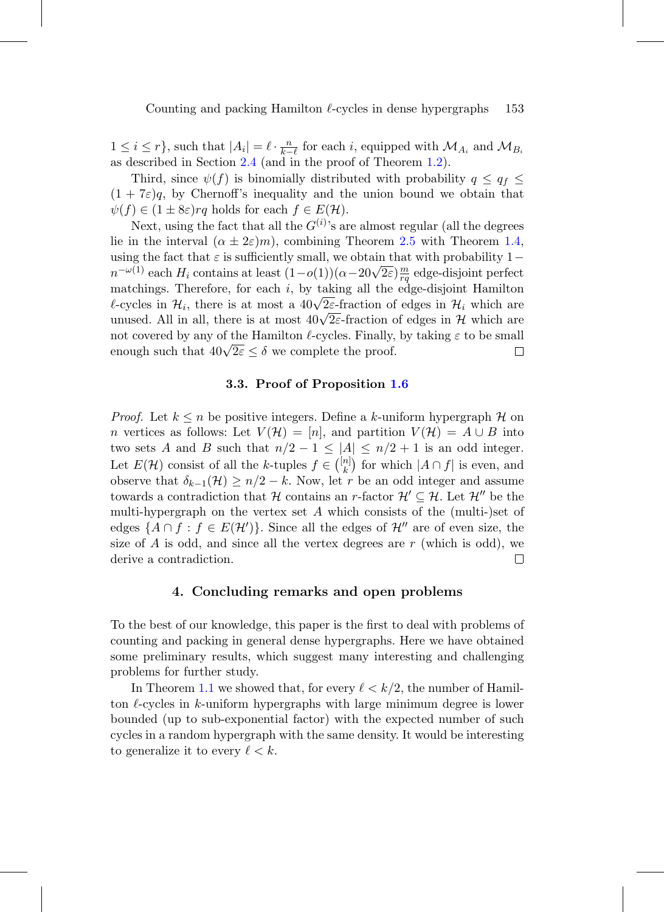$1 \leq i \leq r$ , such that  $|A_i| = \ell \cdot \frac{n}{k-\ell}$  for each i, equipped with  $\mathcal{M}_{A_i}$  and  $\mathcal{M}_{B_i}$ as described in Section [2.4](#page-10-1) (and in the proof of Theorem [1.2\)](#page-4-0).

Third, since  $\psi(f)$  is binomially distributed with probability  $q \leq q_f \leq$  $(1 + 7\varepsilon)q$ , by Chernoff's inequality and the union bound we obtain that  $\psi(f) \in (1 \pm 8\varepsilon) r q$  holds for each  $f \in E(\mathcal{H})$ .

Next, using the fact that all the  $G^{(i)}$ 's are almost regular (all the degrees lie in the interval  $(\alpha \pm 2\varepsilon)m$ , combining Theorem [2.5](#page-7-1) with Theorem [1.4,](#page-5-0) using the fact that  $\varepsilon$  is sufficiently small, we obtain that with probability  $1$ using the ract that  $\varepsilon$  is sumclemity small, we obtain that with probability  $1 - n^{-\omega(1)}$  each  $H_i$  contains at least  $(1 - o(1))(\alpha - 20\sqrt{2\varepsilon})\frac{m}{rq}$  edge-disjoint perfect matchings. Therefore, for each  $i$ , by taking all the edge-disjoint Hamilton materings. Therefore, for each i, by taking an the edge-disjoint riammon<br>  $\ell$ -cycles in  $\mathcal{H}_i$ , there is at most a  $40\sqrt{2\varepsilon}$ -fraction of edges in  $\mathcal{H}_i$  which are unused. All in all, there is at most  $40\sqrt{2\varepsilon}$ -fraction of edges in H which are not covered by any of the Hamilton  $\ell$ -cycles. Finally, by taking  $\varepsilon$  to be small enough such that  $40\sqrt{2\varepsilon} \leq \delta$  we complete the proof.  $\Box$ 

# **3.3. Proof of Proposition [1.6](#page-5-2)**

*Proof.* Let  $k \leq n$  be positive integers. Define a k-uniform hypergraph H on n vertices as follows: Let  $V(H)=[n]$ , and partition  $V(H) = A \cup B$  into two sets A and B such that  $n/2 - 1 \leq |A| \leq n/2 + 1$  is an odd integer. Let  $E(\mathcal{H})$  consist of all the k-tuples  $f \in \binom{[n]}{k}$  ${k \choose k}$  for which  $|A \cap f|$  is even, and observe that  $\delta_{k-1}(\mathcal{H}) \geq n/2 - k$ . Now, let r be an odd integer and assume towards a contradiction that H contains an r-factor  $\mathcal{H}' \subseteq \mathcal{H}$ . Let  $\mathcal{H}''$  be the multi-hypergraph on the vertex set  $A$  which consists of the (multi-)set of edges  $\{A \cap f : f \in E(\mathcal{H}')\}$ . Since all the edges of  $\mathcal{H}''$  are of even size, the size of  $A$  is odd, and since all the vertex degrees are  $r$  (which is odd), we derive a contradiction. □

## **4. Concluding remarks and open problems**

To the best of our knowledge, this paper is the first to deal with problems of counting and packing in general dense hypergraphs. Here we have obtained some preliminary results, which suggest many interesting and challenging problems for further study.

In Theorem [1.1](#page-3-0) we showed that, for every  $\ell < k/2$ , the number of Hamilton  $\ell$ -cycles in k-uniform hypergraphs with large minimum degree is lower bounded (up to sub-exponential factor) with the expected number of such cycles in a random hypergraph with the same density. It would be interesting to generalize it to every  $\ell < k$ .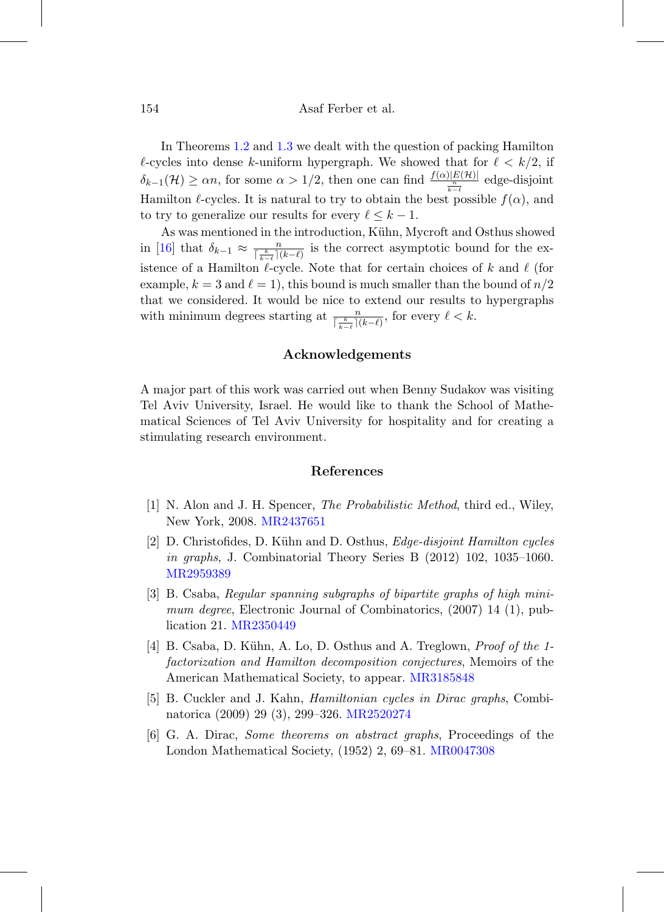In Theorems [1.2](#page-4-0) and [1.3](#page-4-1) we dealt with the question of packing Hamilton  $\ell$ -cycles into dense k-uniform hypergraph. We showed that for  $\ell < k/2$ , if  $\delta_{k-1}(\mathcal{H}) \ge \alpha n$ , for some  $\alpha > 1/2$ , then one can find  $\frac{f(\alpha)|E(\mathcal{H})|}{\frac{n}{k-\ell}}$  edge-disjoint Hamilton  $\ell$ -cycles. It is natural to try to obtain the best possible  $f(\alpha)$ , and to try to generalize our results for every  $\ell \leq k - 1$ .

As was mentioned in the introduction, Kühn, Mycroft and Osthus showed in [\[16\]](#page-20-6) that  $\delta_{k-1} \approx \frac{n}{\lceil \frac{k}{k-\ell} \rceil (k-\ell)}$  is the correct asymptotic bound for the existence of a Hamilton  $\ell$ -cycle. Note that for certain choices of k and  $\ell$  (for example,  $k = 3$  and  $\ell = 1$ , this bound is much smaller than the bound of  $n/2$ that we considered. It would be nice to extend our results to hypergraphs with minimum degrees starting at  $\frac{n}{\lceil \frac{k}{k-\ell} \rceil (k-\ell)}$ , for every  $\ell < k$ .

#### **Acknowledgements**

A major part of this work was carried out when Benny Sudakov was visiting Tel Aviv University, Israel. He would like to thank the School of Mathematical Sciences of Tel Aviv University for hospitality and for creating a stimulating research environment.

## **References**

- <span id="page-19-5"></span>[1] N. Alon and J. H. Spencer, The Probabilistic Method, third ed., Wiley, New York, 2008. [MR2437651](http://www.ams.org/mathscinet-getitem?mr=2437651)
- <span id="page-19-1"></span>[2] D. Christofides, D. Kühn and D. Osthus,  $Edge-disjoint Hamilton cycles$ in graphs, J. Combinatorial Theory Series B (2012) 102, 1035–1060. [MR2959389](http://www.ams.org/mathscinet-getitem?mr=2959389)
- <span id="page-19-4"></span>[3] B. Csaba, Regular spanning subgraphs of bipartite graphs of high minimum degree, Electronic Journal of Combinatorics,  $(2007)$  14 (1), publication 21. [MR2350449](http://www.ams.org/mathscinet-getitem?mr=2350449)
- <span id="page-19-3"></span>[4] B. Csaba, D. Kühn, A. Lo, D. Osthus and A. Treglown, *Proof of the 1*factorization and Hamilton decomposition conjectures, Memoirs of the American Mathematical Society, to appear. [MR3185848](http://www.ams.org/mathscinet-getitem?mr=3185848)
- <span id="page-19-2"></span>[5] B. Cuckler and J. Kahn, Hamiltonian cycles in Dirac graphs, Combinatorica (2009) 29 (3), 299–326. [MR2520274](http://www.ams.org/mathscinet-getitem?mr=2520274)
- <span id="page-19-0"></span>[6] G. A. Dirac, Some theorems on abstract graphs, Proceedings of the London Mathematical Society, (1952) 2, 69–81. [MR0047308](http://www.ams.org/mathscinet-getitem?mr=0047308)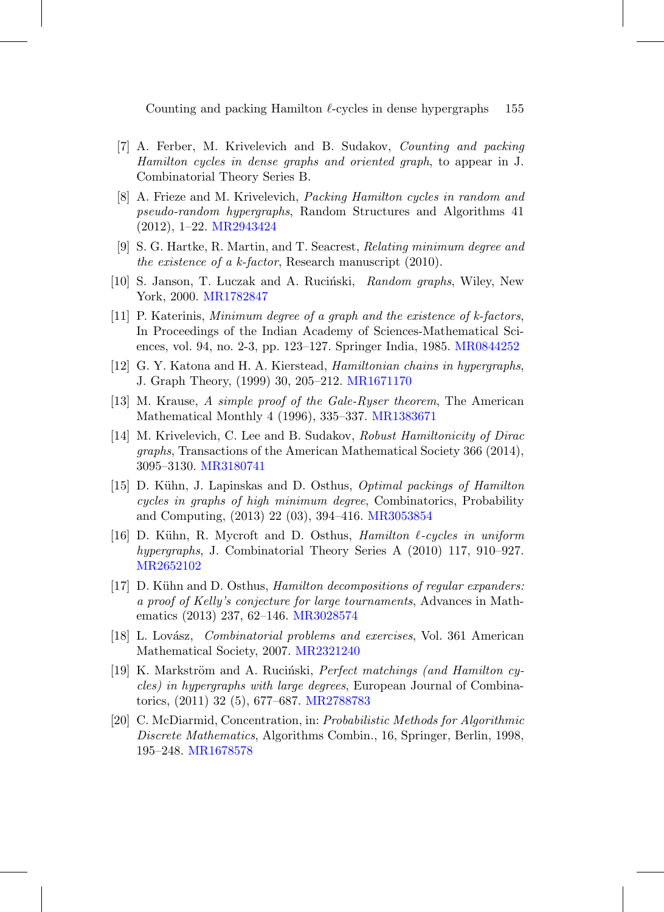- <span id="page-20-1"></span>[7] A. Ferber, M. Krivelevich and B. Sudakov, Counting and packing Hamilton cycles in dense graphs and oriented graph, to appear in J. Combinatorial Theory Series B.
- <span id="page-20-7"></span>[8] A. Frieze and M. Krivelevich, Packing Hamilton cycles in random and pseudo-random hypergraphs, Random Structures and Algorithms 41 (2012), 1–22. [MR2943424](http://www.ams.org/mathscinet-getitem?mr=2943424)
- <span id="page-20-3"></span>[9] S. G. Hartke, R. Martin, and T. Seacrest, Relating minimum degree and the existence of a k-factor, Research manuscript (2010).
- <span id="page-20-9"></span>[10] S. Janson, T. Luczak and A. Ruciński, Random graphs, Wiley, New York, 2000. [MR1782847](http://www.ams.org/mathscinet-getitem?mr=1782847)
- <span id="page-20-2"></span>[11] P. Katerinis, Minimum degree of a graph and the existence of k-factors, In Proceedings of the Indian Academy of Sciences-Mathematical Sciences, vol. 94, no. 2-3, pp. 123–127. Springer India, 1985. [MR0844252](http://www.ams.org/mathscinet-getitem?mr=0844252)
- <span id="page-20-4"></span>[12] G. Y. Katona and H. A. Kierstead, Hamiltonian chains in hypergraphs, J. Graph Theory, (1999) 30, 205–212. [MR1671170](http://www.ams.org/mathscinet-getitem?mr=1671170)
- <span id="page-20-12"></span>[13] M. Krause, A simple proof of the Gale-Ryser theorem, The American Mathematical Monthly 4 (1996), 335–337. [MR1383671](http://www.ams.org/mathscinet-getitem?mr=1383671)
- <span id="page-20-8"></span>[14] M. Krivelevich, C. Lee and B. Sudakov, Robust Hamiltonicity of Dirac graphs, Transactions of the American Mathematical Society 366 (2014), 3095–3130. [MR3180741](http://www.ams.org/mathscinet-getitem?mr=3180741)
- <span id="page-20-0"></span>[15] D. Kühn, J. Lapinskas and D. Osthus, *Optimal packings of Hamilton* cycles in graphs of high minimum degree, Combinatorics, Probability and Computing, (2013) 22 (03), 394–416. [MR3053854](http://www.ams.org/mathscinet-getitem?mr=3053854)
- <span id="page-20-6"></span>[16] D. Kühn, R. Mycroft and D. Osthus, *Hamilton*  $\ell$ *-cycles in uniform* hypergraphs, J. Combinatorial Theory Series A (2010) 117, 910–927. [MR2652102](http://www.ams.org/mathscinet-getitem?mr=2652102)
- <span id="page-20-11"></span>[17] D. Kühn and D. Osthus, *Hamilton decompositions of regular expanders:* a proof of Kelly's conjecture for large tournaments, Advances in Mathematics (2013) 237, 62–146. [MR3028574](http://www.ams.org/mathscinet-getitem?mr=3028574)
- <span id="page-20-13"></span>[18] L. Lovász, *Combinatorial problems and exercises*, Vol. 361 American Mathematical Society, 2007. [MR2321240](http://www.ams.org/mathscinet-getitem?mr=2321240)
- <span id="page-20-5"></span>[19] K. Markström and A. Ruciński, *Perfect matchings (and Hamilton cy*cles) in hypergraphs with large degrees, European Journal of Combinatorics, (2011) 32 (5), 677–687. [MR2788783](http://www.ams.org/mathscinet-getitem?mr=2788783)
- <span id="page-20-10"></span>[20] C. McDiarmid, Concentration, in: Probabilistic Methods for Algorithmic Discrete Mathematics, Algorithms Combin., 16, Springer, Berlin, 1998, 195–248. [MR1678578](http://www.ams.org/mathscinet-getitem?mr=1678578)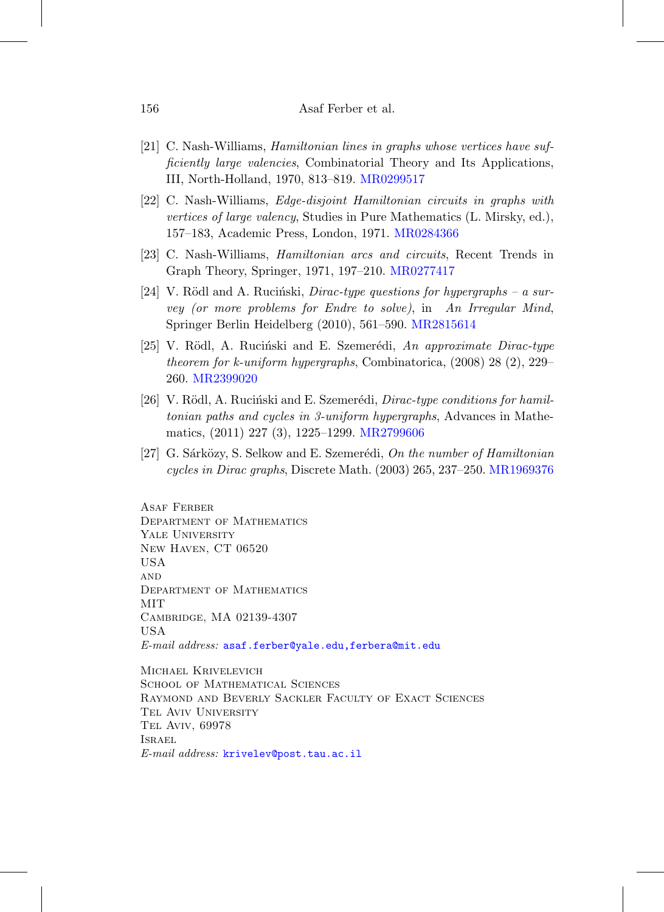- <span id="page-21-0"></span>[21] C. Nash-Williams, Hamiltonian lines in graphs whose vertices have sufficiently large valencies, Combinatorial Theory and Its Applications, III, North-Holland, 1970, 813–819. [MR0299517](http://www.ams.org/mathscinet-getitem?mr=0299517)
- <span id="page-21-1"></span>[22] C. Nash-Williams, Edge-disjoint Hamiltonian circuits in graphs with vertices of large valency, Studies in Pure Mathematics (L. Mirsky, ed.), 157–183, Academic Press, London, 1971. [MR0284366](http://www.ams.org/mathscinet-getitem?mr=0284366)
- <span id="page-21-2"></span>[23] C. Nash-Williams, Hamiltonian arcs and circuits, Recent Trends in Graph Theory, Springer, 1971, 197–210. [MR0277417](http://www.ams.org/mathscinet-getitem?mr=0277417)
- <span id="page-21-6"></span>[24] V. Rödl and A. Rucinski, *Dirac-type questions for hypergraphs – a sur*vey (or more problems for Endre to solve), in An Irregular Mind, Springer Berlin Heidelberg (2010), 561–590. [MR2815614](http://www.ams.org/mathscinet-getitem?mr=2815614)
- <span id="page-21-5"></span>[25] V. Rödl, A. Ruciński and E. Szemerédi, An approximate Dirac-type theorem for k-uniform hypergraphs, Combinatorica, (2008) 28 (2), 229– 260. [MR2399020](http://www.ams.org/mathscinet-getitem?mr=2399020)
- <span id="page-21-4"></span>[26] V. Rödl, A. Ruciński and E. Szemerédi, *Dirac-type conditions for hamil*tonian paths and cycles in 3-uniform hypergraphs, Advances in Mathematics, (2011) 227 (3), 1225–1299. [MR2799606](http://www.ams.org/mathscinet-getitem?mr=2799606)
- <span id="page-21-3"></span>[27] G. Sárközy, S. Selkow and E. Szemerédi, On the number of Hamiltonian cycles in Dirac graphs, Discrete Math. (2003) 265, 237–250. [MR1969376](http://www.ams.org/mathscinet-getitem?mr=1969376)

Asaf Ferber Department of Mathematics YALE UNIVERSITY New Haven, CT 06520 USA **AND** Department of Mathematics MIT Cambridge, MA 02139-4307 USA E-mail address: [asaf.ferber@yale.edu,ferbera@mit.edu](mailto:asaf.ferber@yale.edu,ferbera@mit.edu)

Michael Krivelevich SCHOOL OF MATHEMATICAL SCIENCES Raymond and Beverly Sackler Faculty of Exact Sciences Tel Aviv University Tel Aviv, 69978 Israel E-mail address: [krivelev@post.tau.ac.il](mailto:krivelev@post.tau.ac.il)